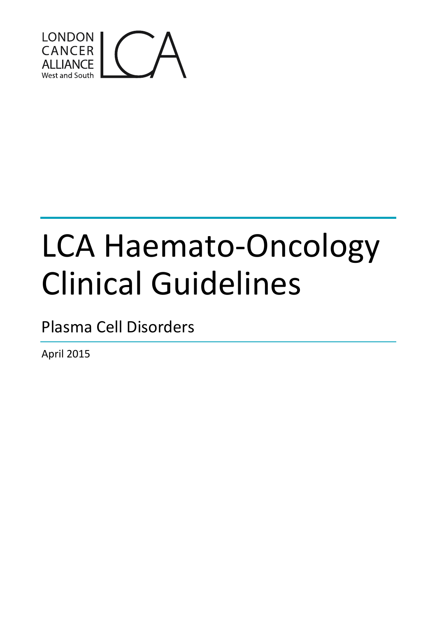

# LCA Haemato-Oncology Clinical Guidelines

Plasma Cell Disorders

April 2015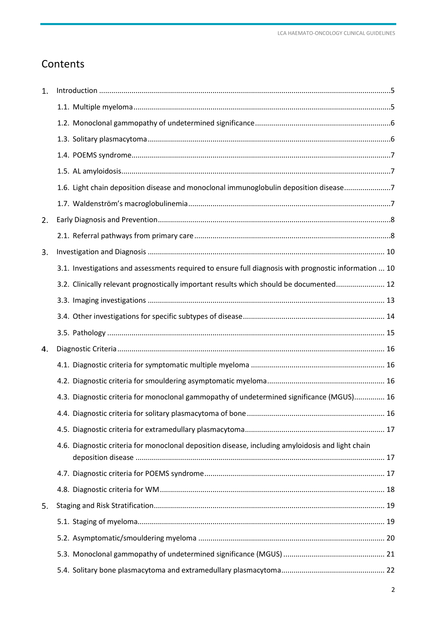# **Contents**

| 1. |                                                                                                       |  |
|----|-------------------------------------------------------------------------------------------------------|--|
|    |                                                                                                       |  |
|    |                                                                                                       |  |
|    |                                                                                                       |  |
|    |                                                                                                       |  |
|    |                                                                                                       |  |
|    | 1.6. Light chain deposition disease and monoclonal immunoglobulin deposition disease7                 |  |
|    |                                                                                                       |  |
| 2. |                                                                                                       |  |
|    |                                                                                                       |  |
| 3. |                                                                                                       |  |
|    | 3.1. Investigations and assessments required to ensure full diagnosis with prognostic information  10 |  |
|    | 3.2. Clinically relevant prognostically important results which should be documented 12               |  |
|    |                                                                                                       |  |
|    |                                                                                                       |  |
|    |                                                                                                       |  |
| 4. |                                                                                                       |  |
|    |                                                                                                       |  |
|    |                                                                                                       |  |
|    | 4.3. Diagnostic criteria for monoclonal gammopathy of undetermined significance (MGUS) 16             |  |
|    |                                                                                                       |  |
|    |                                                                                                       |  |
|    | 4.6. Diagnostic criteria for monoclonal deposition disease, including amyloidosis and light chain     |  |
|    |                                                                                                       |  |
|    |                                                                                                       |  |
| 5. |                                                                                                       |  |
|    |                                                                                                       |  |
|    |                                                                                                       |  |
|    |                                                                                                       |  |
|    |                                                                                                       |  |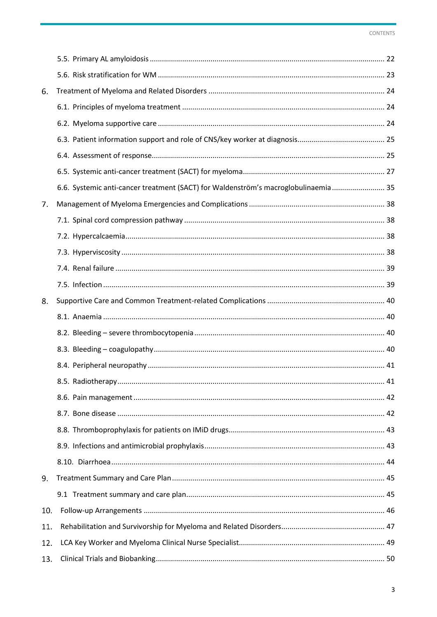| 6.  |                                                                                     |  |
|-----|-------------------------------------------------------------------------------------|--|
|     |                                                                                     |  |
|     |                                                                                     |  |
|     |                                                                                     |  |
|     |                                                                                     |  |
|     |                                                                                     |  |
|     | 6.6. Systemic anti-cancer treatment (SACT) for Waldenström's macroglobulinaemia  35 |  |
| 7.  |                                                                                     |  |
|     |                                                                                     |  |
|     |                                                                                     |  |
|     |                                                                                     |  |
|     |                                                                                     |  |
|     |                                                                                     |  |
| 8.  |                                                                                     |  |
|     |                                                                                     |  |
|     |                                                                                     |  |
|     |                                                                                     |  |
|     |                                                                                     |  |
|     | 8.5. Radiotherapy                                                                   |  |
|     |                                                                                     |  |
|     |                                                                                     |  |
|     |                                                                                     |  |
|     |                                                                                     |  |
|     |                                                                                     |  |
| 9.  |                                                                                     |  |
|     |                                                                                     |  |
| 10. |                                                                                     |  |
| 11. |                                                                                     |  |
| 12. |                                                                                     |  |
| 13. |                                                                                     |  |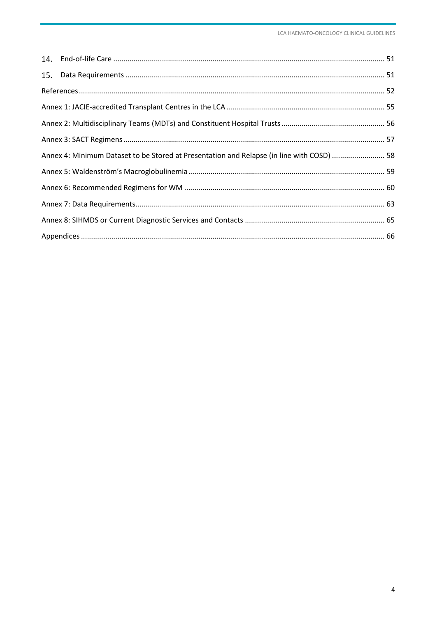| Annex 4: Minimum Dataset to be Stored at Presentation and Relapse (in line with COSD)  58 |  |
|-------------------------------------------------------------------------------------------|--|
|                                                                                           |  |
|                                                                                           |  |
|                                                                                           |  |
|                                                                                           |  |
|                                                                                           |  |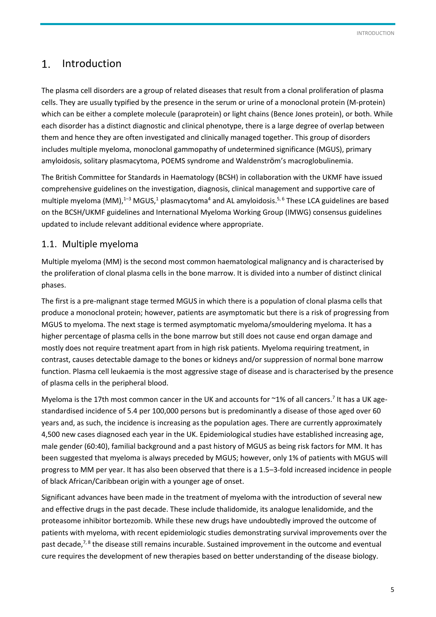#### <span id="page-4-0"></span>Introduction 1.

The plasma cell disorders are a group of related diseases that result from a clonal proliferation of plasma cells. They are usually typified by the presence in the serum or urine of a monoclonal protein (M-protein) which can be either a complete molecule (paraprotein) or light chains (Bence Jones protein), or both. While each disorder has a distinct diagnostic and clinical phenotype, there is a large degree of overlap between them and hence they are often investigated and clinically managed together. This group of disorders includes multiple myeloma, monoclonal gammopathy of undetermined significance (MGUS), primary amyloidosis, solitary plasmacytoma, POEMS syndrome and Waldenström's macroglobulinemia.

The British Committee for Standards in Haematology (BCSH) in collaboration with the UKMF have issued comprehensive guidelines on the investigation, diagnosis, clinical management and supportive care of multiple myeloma (MM),<sup>1-3</sup> MGUS,<sup>1</sup> plasmacytoma<sup>4</sup> and AL amyloidosis.<sup>5,6</sup> These LCA guidelines are based on the BCSH/UKMF guidelines and International Myeloma Working Group (IMWG) consensus guidelines updated to include relevant additional evidence where appropriate.

# 1.1. Multiple myeloma

Multiple myeloma (MM) is the second most common haematological malignancy and is characterised by the proliferation of clonal plasma cells in the bone marrow. It is divided into a number of distinct clinical phases.

The first is a pre-malignant stage termed MGUS in which there is a population of clonal plasma cells that produce a monoclonal protein; however, patients are asymptomatic but there is a risk of progressing from MGUS to myeloma. The next stage is termed asymptomatic myeloma/smouldering myeloma. It has a higher percentage of plasma cells in the bone marrow but still does not cause end organ damage and mostly does not require treatment apart from in high risk patients. Myeloma requiring treatment, in contrast, causes detectable damage to the bones or kidneys and/or suppression of normal bone marrow function. Plasma cell leukaemia is the most aggressive stage of disease and is characterised by the presence of plasma cells in the peripheral blood.

Myeloma is the 17th most common cancer in the UK and accounts for  $\sim$ 1% of all cancers.<sup>7</sup> It has a UK agestandardised incidence of 5.4 per 100,000 persons but is predominantly a disease of those aged over 60 years and, as such, the incidence is increasing as the population ages. There are currently approximately 4,500 new cases diagnosed each year in the UK. Epidemiological studies have established increasing age, male gender (60:40), familial background and a past history of MGUS as being risk factors for MM. It has been suggested that myeloma is always preceded by MGUS; however, only 1% of patients with MGUS will progress to MM per year. It has also been observed that there is a 1.5–3-fold increased incidence in people of black African/Caribbean origin with a younger age of onset.

Significant advances have been made in the treatment of myeloma with the introduction of several new and effective drugs in the past decade. These include thalidomide, its analogue lenalidomide, and the proteasome inhibitor bortezomib. While these new drugs have undoubtedly improved the outcome of patients with myeloma, with recent epidemiologic studies demonstrating survival improvements over the past decade,<sup>7, 8</sup> the disease still remains incurable. Sustained improvement in the outcome and eventual cure requires the development of new therapies based on better understanding of the disease biology.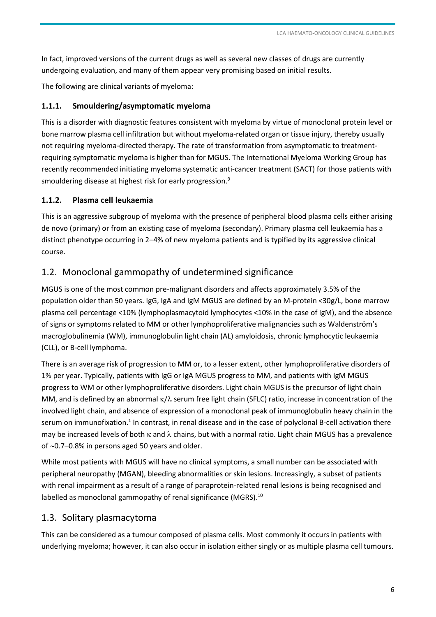<span id="page-5-0"></span>In fact, improved versions of the current drugs as well as several new classes of drugs are currently undergoing evaluation, and many of them appear very promising based on initial results.

The following are clinical variants of myeloma:

#### **1.1.1. Smouldering/asymptomatic myeloma**

This is a disorder with diagnostic features consistent with myeloma by virtue of monoclonal protein level or bone marrow plasma cell infiltration but without myeloma-related organ or tissue injury, thereby usually not requiring myeloma-directed therapy. The rate of transformation from asymptomatic to treatmentrequiring symptomatic myeloma is higher than for MGUS. The International Myeloma Working Group has recently recommended initiating myeloma systematic anti-cancer treatment (SACT) for those patients with smouldering disease at highest risk for early progression.<sup>9</sup>

#### **1.1.2. Plasma cell leukaemia**

This is an aggressive subgroup of myeloma with the presence of peripheral blood plasma cells either arising de novo (primary) or from an existing case of myeloma (secondary). Primary plasma cell leukaemia has a distinct phenotype occurring in 2–4% of new myeloma patients and is typified by its aggressive clinical course.

## 1.2. Monoclonal gammopathy of undetermined significance

MGUS is one of the most common pre-malignant disorders and affects approximately 3.5% of the population older than 50 years. IgG, IgA and IgM MGUS are defined by an M-protein <30g/L, bone marrow plasma cell percentage <10% (lymphoplasmacytoid lymphocytes <10% in the case of IgM), and the absence of signs or symptoms related to MM or other lymphoproliferative malignancies such as Waldenström's macroglobulinemia (WM), immunoglobulin light chain (AL) amyloidosis, chronic lymphocytic leukaemia (CLL), or B-cell lymphoma.

There is an average risk of progression to MM or, to a lesser extent, other lymphoproliferative disorders of 1% per year. Typically, patients with IgG or IgA MGUS progress to MM, and patients with IgM MGUS progress to WM or other lymphoproliferative disorders. Light chain MGUS is the precursor of light chain MM, and is defined by an abnormal  $\kappa/\lambda$  serum free light chain (SFLC) ratio, increase in concentration of the involved light chain, and absence of expression of a monoclonal peak of immunoglobulin heavy chain in the serum on immunofixation.<sup>1</sup> In contrast, in renal disease and in the case of polyclonal B-cell activation there may be increased levels of both  $\kappa$  and  $\lambda$  chains, but with a normal ratio. Light chain MGUS has a prevalence of  $\sim$ 0.7–0.8% in persons aged 50 years and older.

While most patients with MGUS will have no clinical symptoms, a small number can be associated with peripheral neuropathy (MGAN), bleeding abnormalities or skin lesions. Increasingly, a subset of patients with renal impairment as a result of a range of paraprotein-related renal lesions is being recognised and labelled as monoclonal gammopathy of renal significance (MGRS). $^{10}$ 

#### 1.3. Solitary plasmacytoma

This can be considered as a tumour composed of plasma cells. Most commonly it occurs in patients with underlying myeloma; however, it can also occur in isolation either singly or as multiple plasma cell tumours.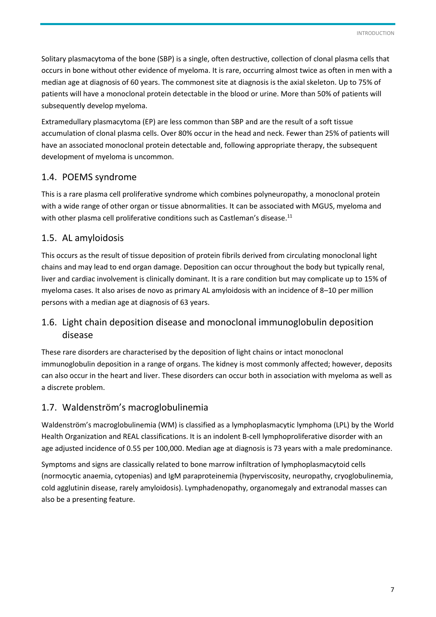<span id="page-6-0"></span>Solitary plasmacytoma of the bone (SBP) is a single, often destructive, collection of clonal plasma cells that occurs in bone without other evidence of myeloma. It is rare, occurring almost twice as often in men with a median age at diagnosis of 60 years. The commonest site at diagnosis is the axial skeleton. Up to 75% of patients will have a monoclonal protein detectable in the blood or urine. More than 50% of patients will subsequently develop myeloma.

Extramedullary plasmacytoma (EP) are less common than SBP and are the result of a soft tissue accumulation of clonal plasma cells. Over 80% occur in the head and neck. Fewer than 25% of patients will have an associated monoclonal protein detectable and, following appropriate therapy, the subsequent development of myeloma is uncommon.

# 1.4. POEMS syndrome

This is a rare plasma cell proliferative syndrome which combines polyneuropathy, a monoclonal protein with a wide range of other organ or tissue abnormalities. It can be associated with MGUS, myeloma and with other plasma cell proliferative conditions such as Castleman's disease.<sup>11</sup>

# 1.5. AL amyloidosis

This occurs as the result of tissue deposition of protein fibrils derived from circulating monoclonal light chains and may lead to end organ damage. Deposition can occur throughout the body but typically renal, liver and cardiac involvement is clinically dominant. It is a rare condition but may complicate up to 15% of myeloma cases. It also arises de novo as primary AL amyloidosis with an incidence of 8–10 per million persons with a median age at diagnosis of 63 years.

# 1.6. Light chain deposition disease and monoclonal immunoglobulin deposition disease

These rare disorders are characterised by the deposition of light chains or intact monoclonal immunoglobulin deposition in a range of organs. The kidney is most commonly affected; however, deposits can also occur in the heart and liver. These disorders can occur both in association with myeloma as well as a discrete problem.

# 1.7. Waldenström's macroglobulinemia

Waldenström's macroglobulinemia (WM) is classified as a lymphoplasmacytic lymphoma (LPL) by the World Health Organization and REAL classifications. It is an indolent B-cell lymphoproliferative disorder with an age adjusted incidence of 0.55 per 100,000. Median age at diagnosis is 73 years with a male predominance.

Symptoms and signs are classically related to bone marrow infiltration of lymphoplasmacytoid cells (normocytic anaemia, cytopenias) and IgM paraproteinemia (hyperviscosity, neuropathy, cryoglobulinemia, cold agglutinin disease, rarely amyloidosis). Lymphadenopathy, organomegaly and extranodal masses can also be a presenting feature.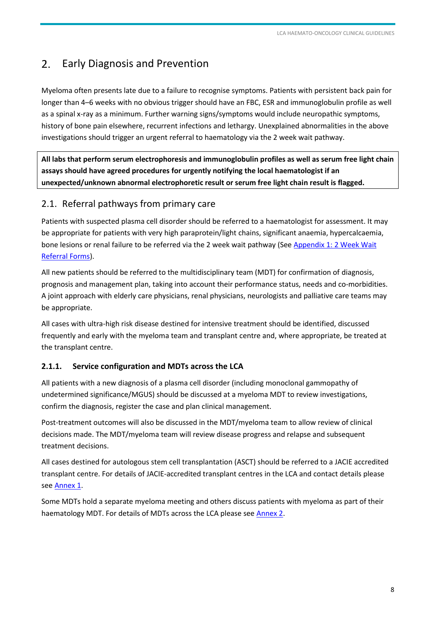#### <span id="page-7-0"></span> $2.$ Early Diagnosis and Prevention

Myeloma often presents late due to a failure to recognise symptoms. Patients with persistent back pain for longer than 4–6 weeks with no obvious trigger should have an FBC, ESR and immunoglobulin profile as well as a spinal x-ray as a minimum. Further warning signs/symptoms would include neuropathic symptoms, history of bone pain elsewhere, recurrent infections and lethargy. Unexplained abnormalities in the above investigations should trigger an urgent referral to haematology via the 2 week wait pathway.

**All labs that perform serum electrophoresis and immunoglobulin profiles as well as serum free light chain assays should have agreed procedures for urgently notifying the local haematologist if an unexpected/unknown abnormal electrophoretic result or serum free light chain result is flagged.** 

## 2.1. Referral pathways from primary care

Patients with suspected plasma cell disorder should be referred to a haematologist for assessment. It may be appropriate for patients with very high paraprotein/light chains, significant anaemia, hypercalcaemia, bone lesions or renal failure to be referred via the 2 week wait pathway (See [Appendix 1: 2 Week Wait](#page-65-1)  [Referral Forms\)](#page-65-1).

All new patients should be referred to the multidisciplinary team (MDT) for confirmation of diagnosis, prognosis and management plan, taking into account their performance status, needs and co-morbidities. A joint approach with elderly care physicians, renal physicians, neurologists and palliative care teams may be appropriate.

All cases with ultra-high risk disease destined for intensive treatment should be identified, discussed frequently and early with the myeloma team and transplant centre and, where appropriate, be treated at the transplant centre.

#### **2.1.1. Service configuration and MDTs across the LCA**

All patients with a new diagnosis of a plasma cell disorder (including monoclonal gammopathy of undetermined significance/MGUS) should be discussed at a myeloma MDT to review investigations, confirm the diagnosis, register the case and plan clinical management.

Post-treatment outcomes will also be discussed in the MDT/myeloma team to allow review of clinical decisions made. The MDT/myeloma team will review disease progress and relapse and subsequent treatment decisions.

All cases destined for autologous stem cell transplantation (ASCT) should be referred to a JACIE accredited transplant centre. For details of JACIE-accredited transplant centres in the LCA and contact details please see [Annex 1.](#page-54-1)

Some MDTs hold a separate myeloma meeting and others discuss patients with myeloma as part of their haematology MDT. For details of MDTs across the LCA please see [Annex 2.](#page-55-1)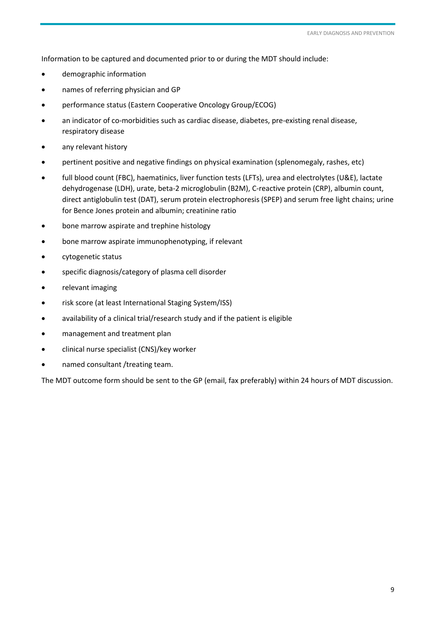Information to be captured and documented prior to or during the MDT should include:

- demographic information
- names of referring physician and GP
- performance status (Eastern Cooperative Oncology Group/ECOG)
- an indicator of co-morbidities such as cardiac disease, diabetes, pre-existing renal disease, respiratory disease
- any relevant history
- pertinent positive and negative findings on physical examination (splenomegaly, rashes, etc)
- full blood count (FBC), haematinics, liver function tests (LFTs), urea and electrolytes (U&E), lactate dehydrogenase (LDH), urate, beta-2 microglobulin (B2M), C-reactive protein (CRP), albumin count, direct antiglobulin test (DAT), serum protein electrophoresis (SPEP) and serum free light chains; urine for Bence Jones protein and albumin; creatinine ratio
- bone marrow aspirate and trephine histology
- bone marrow aspirate immunophenotyping, if relevant
- cytogenetic status
- specific diagnosis/category of plasma cell disorder
- relevant imaging
- risk score (at least International Staging System/ISS)
- availability of a clinical trial/research study and if the patient is eligible
- management and treatment plan
- clinical nurse specialist (CNS)/key worker
- named consultant /treating team.

The MDT outcome form should be sent to the GP (email, fax preferably) within 24 hours of MDT discussion.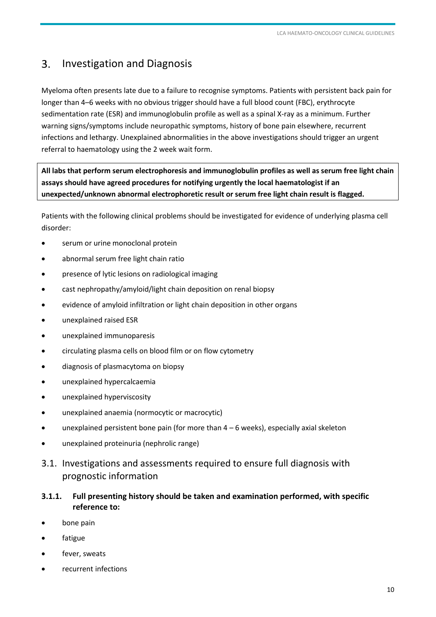#### <span id="page-9-0"></span>Investigation and Diagnosis  $3.$

Myeloma often presents late due to a failure to recognise symptoms. Patients with persistent back pain for longer than 4–6 weeks with no obvious trigger should have a full blood count (FBC), erythrocyte sedimentation rate (ESR) and immunoglobulin profile as well as a spinal X-ray as a minimum. Further warning signs/symptoms include neuropathic symptoms, history of bone pain elsewhere, recurrent infections and lethargy. Unexplained abnormalities in the above investigations should trigger an urgent referral to haematology using the 2 week wait form.

**All labs that perform serum electrophoresis and immunoglobulin profiles as well as serum free light chain assays should have agreed procedures for notifying urgently the local haematologist if an unexpected/unknown abnormal electrophoretic result or serum free light chain result is flagged.** 

Patients with the following clinical problems should be investigated for evidence of underlying plasma cell disorder:

- serum or urine monoclonal protein
- abnormal serum free light chain ratio
- presence of lytic lesions on radiological imaging
- cast nephropathy/amyloid/light chain deposition on renal biopsy
- evidence of amyloid infiltration or light chain deposition in other organs
- unexplained raised ESR
- unexplained immunoparesis
- circulating plasma cells on blood film or on flow cytometry
- diagnosis of plasmacytoma on biopsy
- unexplained hypercalcaemia
- unexplained hyperviscosity
- unexplained anaemia (normocytic or macrocytic)
- unexplained persistent bone pain (for more than  $4 6$  weeks), especially axial skeleton
- unexplained proteinuria (nephrolic range)
- 3.1. Investigations and assessments required to ensure full diagnosis with prognostic information

#### **3.1.1. Full presenting history should be taken and examination performed, with specific reference to:**

- bone pain
- fatigue
- fever, sweats
- recurrent infections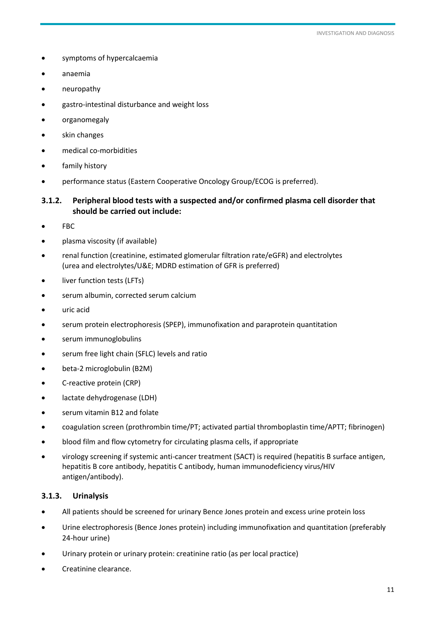- symptoms of hypercalcaemia
- anaemia
- neuropathy
- gastro-intestinal disturbance and weight loss
- organomegaly
- skin changes
- medical co-morbidities
- family history
- performance status (Eastern Cooperative Oncology Group/ECOG is preferred).

#### **3.1.2. Peripheral blood tests with a suspected and/or confirmed plasma cell disorder that should be carried out include:**

- FBC
- plasma viscosity (if available)
- renal function (creatinine, estimated glomerular filtration rate/eGFR) and electrolytes (urea and electrolytes/U&E; MDRD estimation of GFR is preferred)
- liver function tests (LFTs)
- serum albumin, corrected serum calcium
- uric acid
- serum protein electrophoresis (SPEP), immunofixation and paraprotein quantitation
- serum immunoglobulins
- serum free light chain (SFLC) levels and ratio
- beta-2 microglobulin (B2M)
- C-reactive protein (CRP)
- lactate dehydrogenase (LDH)
- serum vitamin B12 and folate
- coagulation screen (prothrombin time/PT; activated partial thromboplastin time/APTT; fibrinogen)
- blood film and flow cytometry for circulating plasma cells, if appropriate
- virology screening if systemic anti-cancer treatment (SACT) is required (hepatitis B surface antigen, hepatitis B core antibody, hepatitis C antibody, human immunodeficiency virus/HIV antigen/antibody).

#### **3.1.3. Urinalysis**

- All patients should be screened for urinary Bence Jones protein and excess urine protein loss
- Urine electrophoresis (Bence Jones protein) including immunofixation and quantitation (preferably 24-hour urine)
- Urinary protein or urinary protein: creatinine ratio (as per local practice)
- Creatinine clearance.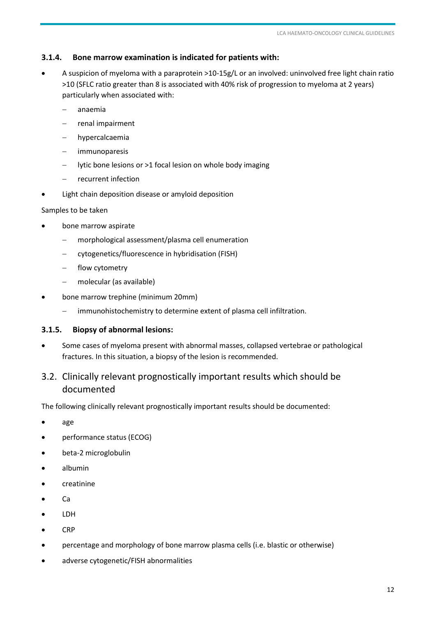#### <span id="page-11-1"></span><span id="page-11-0"></span>**3.1.4. Bone marrow examination is indicated for patients with:**

- A suspicion of myeloma with a paraprotein >10-15g/L or an involved: uninvolved free light chain ratio >10 (SFLC ratio greater than 8 is associated with 40% risk of progression to myeloma at 2 years) particularly when associated with:
	- anaemia
	- renal impairment
	- hypercalcaemia
	- immunoparesis
	- lytic bone lesions or >1 focal lesion on whole body imaging
	- recurrent infection
- Light chain deposition disease or amyloid deposition

#### Samples to be taken

- bone marrow aspirate
	- morphological assessment/plasma cell enumeration
	- cytogenetics/fluorescence in hybridisation (FISH)
	- flow cytometry
	- molecular (as available)
- bone marrow trephine (minimum 20mm)
	- immunohistochemistry to determine extent of plasma cell infiltration.

#### **3.1.5. Biopsy of abnormal lesions:**

 Some cases of myeloma present with abnormal masses, collapsed vertebrae or pathological fractures. In this situation, a biopsy of the lesion is recommended.

# 3.2. Clinically relevant prognostically important results which should be documented

The following clinically relevant prognostically important results should be documented:

- age
- performance status (ECOG)
- beta-2 microglobulin
- albumin
- creatinine
- $\bullet$  Ca
- LDH
- $\bullet$  CRP
- percentage and morphology of bone marrow plasma cells (i.e. blastic or otherwise)
- adverse cytogenetic/FISH abnormalities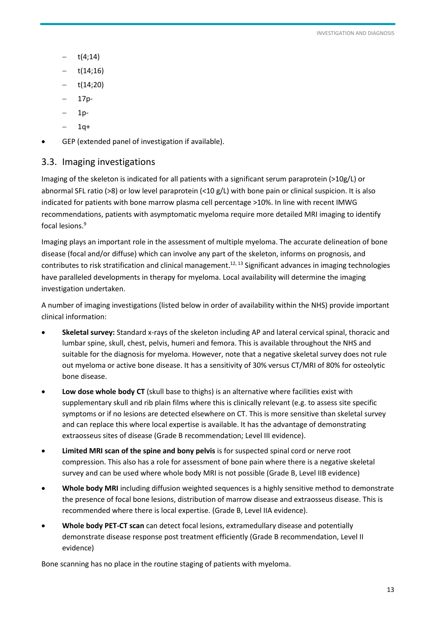- <span id="page-12-0"></span>t(4;14)
- t(14;16)
- t(14;20)
- 17p-
- 1p-
- $1q+$
- GEP (extended panel of investigation if available).

# 3.3. Imaging investigations

Imaging of the skeleton is indicated for all patients with a significant serum paraprotein (>10g/L) or abnormal SFL ratio (>8) or low level paraprotein (<10 g/L) with bone pain or clinical suspicion. It is also indicated for patients with bone marrow plasma cell percentage >10%. In line with recent IMWG recommendations, patients with asymptomatic myeloma require more detailed MRI imaging to identify focal lesions. 9

Imaging plays an important role in the assessment of multiple myeloma. The accurate delineation of bone disease (focal and/or diffuse) which can involve any part of the skeleton, informs on prognosis, and contributes to risk stratification and clinical management.<sup>12, 13</sup> Significant advances in imaging technologies have paralleled developments in therapy for myeloma. Local availability will determine the imaging investigation undertaken.

A number of imaging investigations (listed below in order of availability within the NHS) provide important clinical information:

- **Skeletal survey:** Standard x-rays of the skeleton including AP and lateral cervical spinal, thoracic and lumbar spine, skull, chest, pelvis, humeri and femora. This is available throughout the NHS and suitable for the diagnosis for myeloma. However, note that a negative skeletal survey does not rule out myeloma or active bone disease. It has a sensitivity of 30% versus CT/MRI of 80% for osteolytic bone disease.
- **Low dose whole body CT** (skull base to thighs) is an alternative where facilities exist with supplementary skull and rib plain films where this is clinically relevant (e.g. to assess site specific symptoms or if no lesions are detected elsewhere on CT. This is more sensitive than skeletal survey and can replace this where local expertise is available. It has the advantage of demonstrating extraosseus sites of disease (Grade B recommendation; Level III evidence).
- **Limited MRI scan of the spine and bony pelvis** is for suspected spinal cord or nerve root compression. This also has a role for assessment of bone pain where there is a negative skeletal survey and can be used where whole body MRI is not possible (Grade B, Level IIB evidence)
- **Whole body MRI** including diffusion weighted sequences is a highly sensitive method to demonstrate the presence of focal bone lesions, distribution of marrow disease and extraosseus disease. This is recommended where there is local expertise. (Grade B, Level IIA evidence).
- **Whole body PET-CT scan** can detect focal lesions, extramedullary disease and potentially demonstrate disease response post treatment efficiently (Grade B recommendation, Level II evidence)

Bone scanning has no place in the routine staging of patients with myeloma.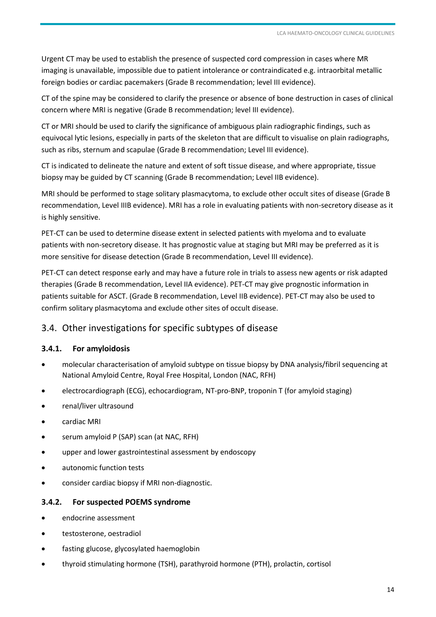<span id="page-13-0"></span>Urgent CT may be used to establish the presence of suspected cord compression in cases where MR imaging is unavailable, impossible due to patient intolerance or contraindicated e.g. intraorbital metallic foreign bodies or cardiac pacemakers (Grade B recommendation; level III evidence).

CT of the spine may be considered to clarify the presence or absence of bone destruction in cases of clinical concern where MRI is negative (Grade B recommendation; level III evidence).

CT or MRI should be used to clarify the significance of ambiguous plain radiographic findings, such as equivocal lytic lesions, especially in parts of the skeleton that are difficult to visualise on plain radiographs, such as ribs, sternum and scapulae (Grade B recommendation; Level III evidence).

CT is indicated to delineate the nature and extent of soft tissue disease, and where appropriate, tissue biopsy may be guided by CT scanning (Grade B recommendation; Level IIB evidence).

MRI should be performed to stage solitary plasmacytoma, to exclude other occult sites of disease (Grade B recommendation, Level IIIB evidence). MRI has a role in evaluating patients with non-secretory disease as it is highly sensitive.

PET-CT can be used to determine disease extent in selected patients with myeloma and to evaluate patients with non-secretory disease. It has prognostic value at staging but MRI may be preferred as it is more sensitive for disease detection (Grade B recommendation, Level III evidence).

PET-CT can detect response early and may have a future role in trials to assess new agents or risk adapted therapies (Grade B recommendation, Level IIA evidence). PET-CT may give prognostic information in patients suitable for ASCT. (Grade B recommendation, Level IIB evidence). PET-CT may also be used to confirm solitary plasmacytoma and exclude other sites of occult disease.

# 3.4. Other investigations for specific subtypes of disease

#### **3.4.1. For amyloidosis**

- molecular characterisation of amyloid subtype on tissue biopsy by DNA analysis/fibril sequencing at National Amyloid Centre, Royal Free Hospital, London (NAC, RFH)
- electrocardiograph (ECG), echocardiogram, NT-pro-BNP, troponin T (for amyloid staging)
- renal/liver ultrasound
- cardiac MRI
- serum amyloid P (SAP) scan (at NAC, RFH)
- upper and lower gastrointestinal assessment by endoscopy
- autonomic function tests
- consider cardiac biopsy if MRI non-diagnostic.

#### **3.4.2. For suspected POEMS syndrome**

- endocrine assessment
- testosterone, oestradiol
- fasting glucose, glycosylated haemoglobin
- thyroid stimulating hormone (TSH), parathyroid hormone (PTH), prolactin, cortisol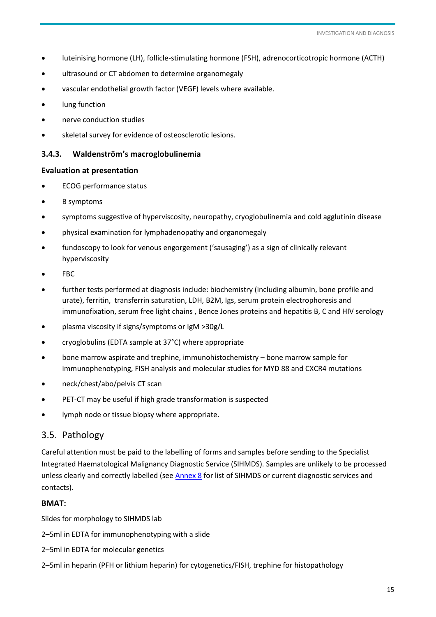- <span id="page-14-0"></span>luteinising hormone (LH), follicle-stimulating hormone (FSH), adrenocorticotropic hormone (ACTH)
- ultrasound or CT abdomen to determine organomegaly
- vascular endothelial growth factor (VEGF) levels where available.
- lung function
- nerve conduction studies
- skeletal survey for evidence of osteosclerotic lesions.

#### **3.4.3. Waldenström's macroglobulinemia**

#### **Evaluation at presentation**

- ECOG performance status
- B symptoms
- symptoms suggestive of hyperviscosity, neuropathy, cryoglobulinemia and cold agglutinin disease
- physical examination for lymphadenopathy and organomegaly
- fundoscopy to look for venous engorgement ('sausaging') as a sign of clinically relevant hyperviscosity
- FBC
- further tests performed at diagnosis include: biochemistry (including albumin, bone profile and urate), ferritin, transferrin saturation, LDH, B2M, Igs, serum protein electrophoresis and immunofixation, serum free light chains , Bence Jones proteins and hepatitis B, C and HIV serology
- plasma viscosity if signs/symptoms or IgM >30g/L
- cryoglobulins (EDTA sample at 37°C) where appropriate
- bone marrow aspirate and trephine, immunohistochemistry bone marrow sample for immunophenotyping, FISH analysis and molecular studies for MYD 88 and CXCR4 mutations
- neck/chest/abo/pelvis CT scan
- PET-CT may be useful if high grade transformation is suspected
- lymph node or tissue biopsy where appropriate.

#### 3.5. Pathology

Careful attention must be paid to the labelling of forms and samples before sending to the Specialist Integrated Haematological Malignancy Diagnostic Service (SIHMDS). Samples are unlikely to be processed unless clearly and correctly labelled (see [Annex 8](#page-64-1) for list of SIHMDS or current diagnostic services and contacts).

#### **BMAT:**

Slides for morphology to SIHMDS lab

- 2–5ml in EDTA for immunophenotyping with a slide
- 2–5ml in EDTA for molecular genetics
- 2–5ml in heparin (PFH or lithium heparin) for cytogenetics/FISH, trephine for histopathology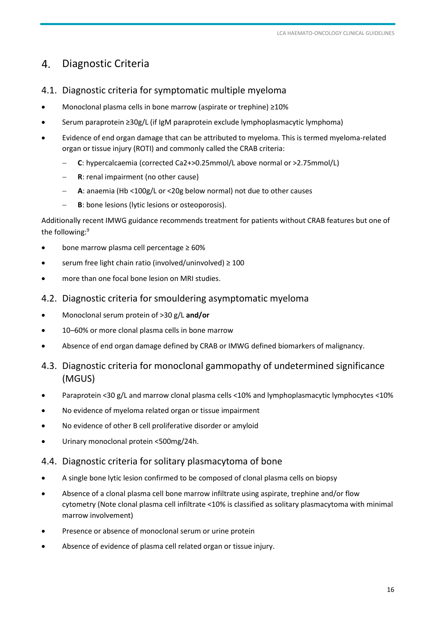#### <span id="page-15-0"></span> $\mathbf{4}$ . Diagnostic Criteria

- 4.1. Diagnostic criteria for symptomatic multiple myeloma
- Monoclonal plasma cells in bone marrow (aspirate or trephine) ≥10%
- Serum paraprotein ≥30g/L (if IgM paraprotein exclude lymphoplasmacytic lymphoma)
- Evidence of end organ damage that can be attributed to myeloma. This is termed myeloma-related organ or tissue injury (ROTI) and commonly called the CRAB criteria:
	- **C**: hypercalcaemia (corrected Ca2+>0.25mmol/L above normal or >2.75mmol/L)
	- **R**: renal impairment (no other cause)
	- **A**: anaemia (Hb <100g/L or <20g below normal) not due to other causes
	- **B**: bone lesions (lytic lesions or osteoporosis).

Additionally recent IMWG guidance recommends treatment for patients without CRAB features but one of the following: 9

- bone marrow plasma cell percentage ≥ 60%
- serum free light chain ratio (involved/uninvolved) ≥ 100
- more than one focal bone lesion on MRI studies.
- 4.2. Diagnostic criteria for smouldering asymptomatic myeloma
- Monoclonal serum protein of >30 g/L **and/or**
- 10–60% or more clonal plasma cells in bone marrow
- Absence of end organ damage defined by CRAB or IMWG defined biomarkers of malignancy.
- 4.3. Diagnostic criteria for monoclonal gammopathy of undetermined significance (MGUS)
- Paraprotein <30 g/L and marrow clonal plasma cells <10% and lymphoplasmacytic lymphocytes <10%
- No evidence of myeloma related organ or tissue impairment
- No evidence of other B cell proliferative disorder or amyloid
- Urinary monoclonal protein <500mg/24h.

# 4.4. Diagnostic criteria for solitary plasmacytoma of bone

- A single bone lytic lesion confirmed to be composed of clonal plasma cells on biopsy
- Absence of a clonal plasma cell bone marrow infiltrate using aspirate, trephine and/or flow cytometry (Note clonal plasma cell infiltrate <10% is classified as solitary plasmacytoma with minimal marrow involvement)
- Presence or absence of monoclonal serum or urine protein
- Absence of evidence of plasma cell related organ or tissue injury.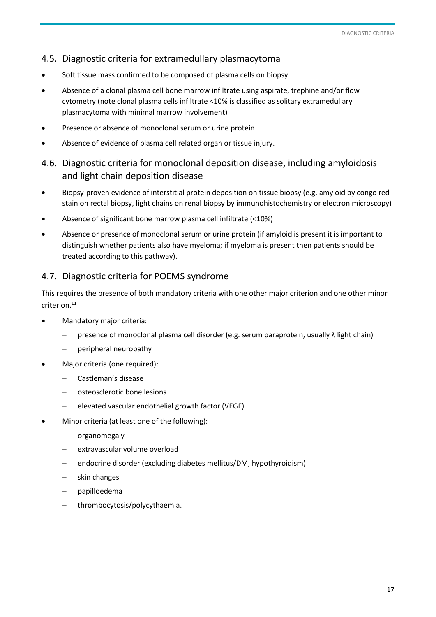# <span id="page-16-0"></span>4.5. Diagnostic criteria for extramedullary plasmacytoma

- Soft tissue mass confirmed to be composed of plasma cells on biopsy
- Absence of a clonal plasma cell bone marrow infiltrate using aspirate, trephine and/or flow cytometry (note clonal plasma cells infiltrate <10% is classified as solitary extramedullary plasmacytoma with minimal marrow involvement)
- Presence or absence of monoclonal serum or urine protein
- Absence of evidence of plasma cell related organ or tissue injury.

# 4.6. Diagnostic criteria for monoclonal deposition disease, including amyloidosis and light chain deposition disease

- Biopsy-proven evidence of interstitial protein deposition on tissue biopsy (e.g. amyloid by congo red stain on rectal biopsy, light chains on renal biopsy by immunohistochemistry or electron microscopy)
- Absence of significant bone marrow plasma cell infiltrate (<10%)
- Absence or presence of monoclonal serum or urine protein (if amyloid is present it is important to distinguish whether patients also have myeloma; if myeloma is present then patients should be treated according to this pathway).

# 4.7. Diagnostic criteria for POEMS syndrome

This requires the presence of both mandatory criteria with one other major criterion and one other minor criterion.<sup>11</sup>

- Mandatory major criteria:
	- presence of monoclonal plasma cell disorder (e.g. serum paraprotein, usually λ light chain)
	- $-$  peripheral neuropathy
- Major criteria (one required):
	- Castleman's disease
	- osteosclerotic bone lesions
	- elevated vascular endothelial growth factor (VEGF)
- Minor criteria (at least one of the following):
	- organomegaly
	- extravascular volume overload
	- endocrine disorder (excluding diabetes mellitus/DM, hypothyroidism)
	- skin changes
	- papilloedema
	- thrombocytosis/polycythaemia.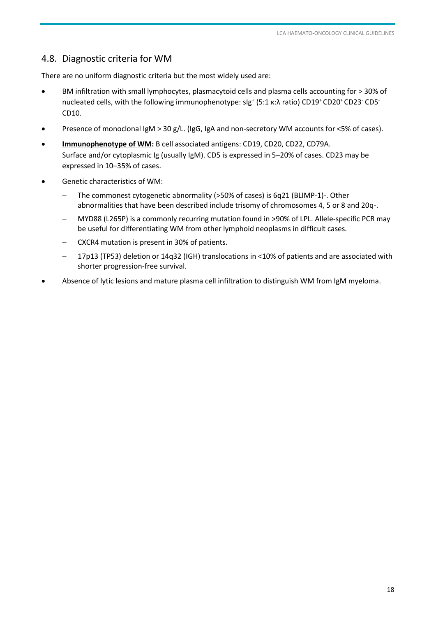# <span id="page-17-0"></span>4.8. Diagnostic criteria for WM

There are no uniform diagnostic criteria but the most widely used are:

- BM infiltration with small lymphocytes, plasmacytoid cells and plasma cells accounting for > 30% of nucleated cells, with the following immunophenotype: slg<sup>+</sup> (5:1 κ:λ ratio) CD19<sup>+</sup> CD20<sup>+</sup> CD23<sup>-</sup> CD5<sup>-</sup> CD10.
- Presence of monoclonal IgM > 30 g/L. (IgG, IgA and non-secretory WM accounts for <5% of cases).
- **Immunophenotype of WM:** B cell associated antigens: CD19, CD20, CD22, CD79A. Surface and/or cytoplasmic Ig (usually IgM). CD5 is expressed in 5–20% of cases. CD23 may be expressed in 10–35% of cases.
- Genetic characteristics of WM:
	- The commonest cytogenetic abnormality (>50% of cases) is 6q21 (BLIMP-1)-. Other abnormalities that have been described include trisomy of chromosomes 4, 5 or 8 and 20q-.
	- MYD88 (L265P) is a commonly recurring mutation found in >90% of LPL. Allele-specific PCR may be useful for differentiating WM from other lymphoid neoplasms in difficult cases.
	- CXCR4 mutation is present in 30% of patients.
	- 17p13 (TP53) deletion or 14q32 (IGH) translocations in <10% of patients and are associated with shorter progression-free survival.
- Absence of lytic lesions and mature plasma cell infiltration to distinguish WM from IgM myeloma.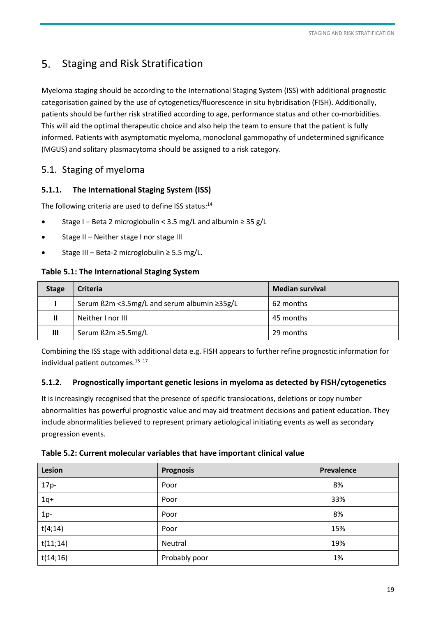#### <span id="page-18-0"></span>5. Staging and Risk Stratification

Myeloma staging should be according to the International Staging System (ISS) with additional prognostic categorisation gained by the use of cytogenetics/fluorescence in situ hybridisation (FISH). Additionally, patients should be further risk stratified according to age, performance status and other co-morbidities. This will aid the optimal therapeutic choice and also help the team to ensure that the patient is fully informed. Patients with asymptomatic myeloma, monoclonal gammopathy of undetermined significance (MGUS) and solitary plasmacytoma should be assigned to a risk category.

# 5.1. Staging of myeloma

# **5.1.1. The International Staging System (ISS)**

The following criteria are used to define ISS status:<sup>14</sup>

- Stage I Beta 2 microglobulin < 3.5 mg/L and albumin  $\geq$  35 g/L
- Stage II Neither stage I nor stage III
- Stage III Beta-2 microglobulin ≥ 5.5 mg/L.

## **Table 5.1: The International Staging System**

| <b>Stage</b> | <b>Criteria</b>                             | <b>Median survival</b> |
|--------------|---------------------------------------------|------------------------|
|              | Serum ß2m <3.5mg/L and serum albumin ≥35g/L | 62 months              |
|              | Neither I nor III                           | 45 months              |
| Ш            | Serum ß2m ≥5.5mg/L                          | 29 months              |

Combining the ISS stage with additional data e.g. FISH appears to further refine prognostic information for individual patient outcomes.<sup>15-17</sup>

#### **5.1.2. Prognostically important genetic lesions in myeloma as detected by FISH/cytogenetics**

It is increasingly recognised that the presence of specific translocations, deletions or copy number abnormalities has powerful prognostic value and may aid treatment decisions and patient education. They include abnormalities believed to represent primary aetiological initiating events as well as secondary progression events.

| Table 5.2: Current molecular variables that have important clinical value |  |  |
|---------------------------------------------------------------------------|--|--|
|---------------------------------------------------------------------------|--|--|

| Lesion   | <b>Prognosis</b> | Prevalence |
|----------|------------------|------------|
| $17p-$   | Poor             | 8%         |
| $1q+$    | Poor             | 33%        |
| $1p-$    | Poor             | 8%         |
| t(4;14)  | Poor             | 15%        |
| t(11;14) | Neutral          | 19%        |
| t(14;16) | Probably poor    | 1%         |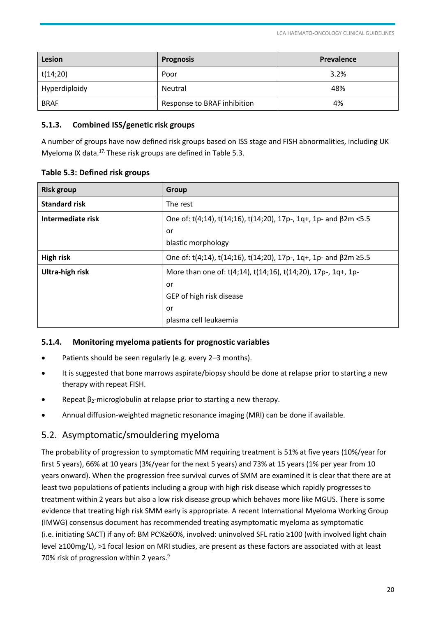<span id="page-19-0"></span>

| Lesion        | <b>Prognosis</b>            | <b>Prevalence</b> |
|---------------|-----------------------------|-------------------|
| t(14;20)      | Poor                        | 3.2%              |
| Hyperdiploidy | Neutral                     | 48%               |
| <b>BRAF</b>   | Response to BRAF inhibition | 4%                |

#### **5.1.3. Combined ISS/genetic risk groups**

A number of groups have now defined risk groups based on ISS stage and FISH abnormalities, including UK Myeloma IX data.17. These risk groups are defined in Table 5.3.

#### **Table 5.3: Defined risk groups**

| <b>Risk group</b>    | <b>Group</b>                                                             |  |
|----------------------|--------------------------------------------------------------------------|--|
| <b>Standard risk</b> | The rest                                                                 |  |
| Intermediate risk    | One of: t(4;14), t(14;16), t(14;20), 17p-, 1q+, 1p- and $\beta$ 2m < 5.5 |  |
|                      | or                                                                       |  |
|                      | blastic morphology                                                       |  |
| <b>High risk</b>     | One of: t(4;14), t(14;16), t(14;20), 17p-, 1q+, 1p- and β2m ≥5.5         |  |
| Ultra-high risk      | More than one of: t(4;14), t(14;16), t(14;20), 17p-, 1q+, 1p-            |  |
|                      | or                                                                       |  |
|                      | GEP of high risk disease                                                 |  |
|                      | or                                                                       |  |
|                      | plasma cell leukaemia                                                    |  |

#### **5.1.4. Monitoring myeloma patients for prognostic variables**

- Patients should be seen regularly (e.g. every 2–3 months).
- It is suggested that bone marrows aspirate/biopsy should be done at relapse prior to starting a new therapy with repeat FISH.
- Repeat β<sub>2</sub>-microglobulin at relapse prior to starting a new therapy.
- Annual diffusion-weighted magnetic resonance imaging (MRI) can be done if available.

#### 5.2. Asymptomatic/smouldering myeloma

The probability of progression to symptomatic MM requiring treatment is 51% at five years (10%/year for first 5 years), 66% at 10 years (3%/year for the next 5 years) and 73% at 15 years (1% per year from 10 years onward). When the progression free survival curves of SMM are examined it is clear that there are at least two populations of patients including a group with high risk disease which rapidly progresses to treatment within 2 years but also a low risk disease group which behaves more like MGUS. There is some evidence that treating high risk SMM early is appropriate. A recent International Myeloma Working Group (IMWG) consensus document has recommended treating asymptomatic myeloma as symptomatic (i.e. initiating SACT) if any of: BM PC%≥60%, involved: uninvolved SFL ratio ≥100 (with involved light chain level ≥100mg/L), >1 focal lesion on MRI studies, are present as these factors are associated with at least 70% risk of progression within 2 years.<sup>9</sup>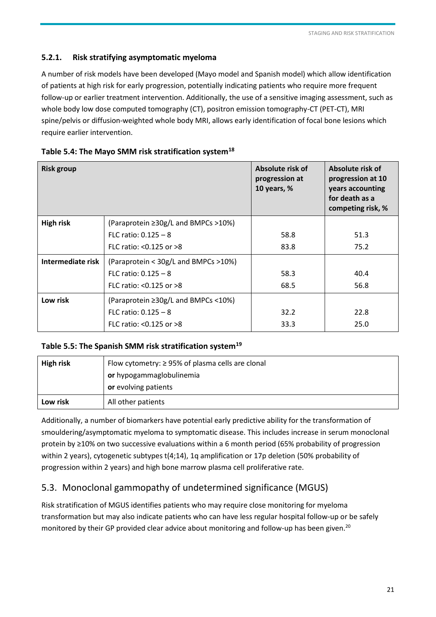## <span id="page-20-0"></span>**5.2.1. Risk stratifying asymptomatic myeloma**

A number of risk models have been developed (Mayo model and Spanish model) which allow identification of patients at high risk for early progression, potentially indicating patients who require more frequent follow-up or earlier treatment intervention. Additionally, the use of a sensitive imaging assessment, such as whole body low dose computed tomography (CT), positron emission tomography-CT (PET-CT), MRI spine/pelvis or diffusion-weighted whole body MRI, allows early identification of focal bone lesions which require earlier intervention.

| <b>Risk group</b> |                                      | Absolute risk of<br>progression at<br>10 years, % | Absolute risk of<br>progression at 10<br>years accounting<br>for death as a<br>competing risk, % |
|-------------------|--------------------------------------|---------------------------------------------------|--------------------------------------------------------------------------------------------------|
| <b>High risk</b>  | (Paraprotein ≥30g/L and BMPCs >10%)  |                                                   |                                                                                                  |
|                   | FLC ratio: $0.125 - 8$               | 58.8                                              | 51.3                                                                                             |
|                   | FLC ratio: $< 0.125$ or $> 8$        | 83.8                                              | 75.2                                                                                             |
| Intermediate risk | (Paraprotein < 30g/L and BMPCs >10%) |                                                   |                                                                                                  |
|                   | FLC ratio: $0.125 - 8$               | 58.3                                              | 40.4                                                                                             |
|                   | FLC ratio: $< 0.125$ or $> 8$        | 68.5                                              | 56.8                                                                                             |
| Low risk          | (Paraprotein ≥30g/L and BMPCs <10%)  |                                                   |                                                                                                  |
|                   | FLC ratio: $0.125 - 8$               | 32.2                                              | 22.8                                                                                             |
|                   | FLC ratio: $< 0.125$ or $> 8$        | 33.3                                              | 25.0                                                                                             |

#### **Table 5.4: The Mayo SMM risk stratification system<sup>18</sup>**

#### **Table 5.5: The Spanish SMM risk stratification system<sup>19</sup>**

| <b>High risk</b> | Flow cytometry: $\geq$ 95% of plasma cells are clonal<br>or hypogammaglobulinemia<br>or evolving patients |
|------------------|-----------------------------------------------------------------------------------------------------------|
| Low risk         | All other patients                                                                                        |

Additionally, a number of biomarkers have potential early predictive ability for the transformation of smouldering/asymptomatic myeloma to symptomatic disease. This includes increase in serum monoclonal protein by ≥10% on two successive evaluations within a 6 month period (65% probability of progression within 2 years), cytogenetic subtypes t(4;14), 1q amplification or 17p deletion (50% probability of progression within 2 years) and high bone marrow plasma cell proliferative rate.

# 5.3. Monoclonal gammopathy of undetermined significance (MGUS)

Risk stratification of MGUS identifies patients who may require close monitoring for myeloma transformation but may also indicate patients who can have less regular hospital follow-up or be safely monitored by their GP provided clear advice about monitoring and follow-up has been given.<sup>20</sup>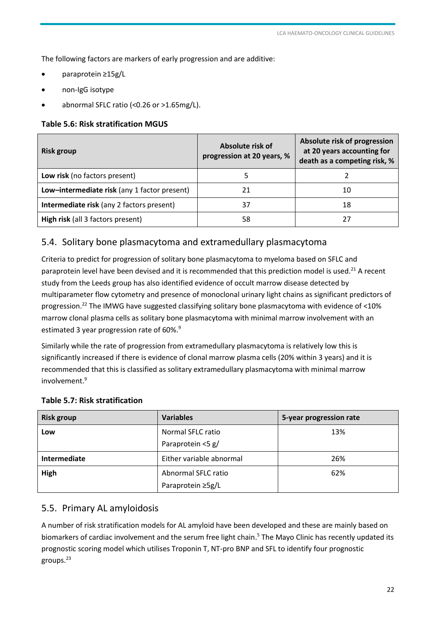<span id="page-21-0"></span>The following factors are markers of early progression and are additive:

- paraprotein ≥15g/L
- non-IgG isotype
- abnormal SFLC ratio (<0.26 or >1.65mg/L).

#### **Table 5.6: Risk stratification MGUS**

| <b>Risk group</b>                            | Absolute risk of<br>progression at 20 years, % | Absolute risk of progression<br>at 20 years accounting for<br>death as a competing risk, % |
|----------------------------------------------|------------------------------------------------|--------------------------------------------------------------------------------------------|
| Low risk (no factors present)                |                                                |                                                                                            |
| Low-intermediate risk (any 1 factor present) |                                                | 10                                                                                         |
| Intermediate risk (any 2 factors present)    | 37                                             | 18                                                                                         |
| High risk (all 3 factors present)            | 58                                             | 27                                                                                         |

# 5.4. Solitary bone plasmacytoma and extramedullary plasmacytoma

Criteria to predict for progression of solitary bone plasmacytoma to myeloma based on SFLC and paraprotein level have been devised and it is recommended that this prediction model is used.<sup>21</sup> A recent study from the Leeds group has also identified evidence of occult marrow disease detected by multiparameter flow cytometry and presence of monoclonal urinary light chains as significant predictors of progression.<sup>22</sup> The IMWG have suggested classifying solitary bone plasmacytoma with evidence of <10% marrow clonal plasma cells as solitary bone plasmacytoma with minimal marrow involvement with an estimated 3 year progression rate of 60%.<sup>9</sup>

Similarly while the rate of progression from extramedullary plasmacytoma is relatively low this is significantly increased if there is evidence of clonal marrow plasma cells (20% within 3 years) and it is recommended that this is classified as solitary extramedullary plasmacytoma with minimal marrow involvement.<sup>9</sup>

| <b>Risk group</b> | <b>Variables</b>         | 5-year progression rate |
|-------------------|--------------------------|-------------------------|
| Low               | Normal SFLC ratio        | 13%                     |
|                   | Paraprotein <5 g/        |                         |
| Intermediate      | Either variable abnormal | 26%                     |
| High              | Abnormal SFLC ratio      | 62%                     |
|                   | Paraprotein ≥5g/L        |                         |

#### **Table 5.7: Risk stratification**

# 5.5. Primary AL amyloidosis

A number of risk stratification models for AL amyloid have been developed and these are mainly based on biomarkers of cardiac involvement and the serum free light chain.<sup>5</sup> The Mayo Clinic has recently updated its prognostic scoring model which utilises Troponin T, NT-pro BNP and SFL to identify four prognostic groups.23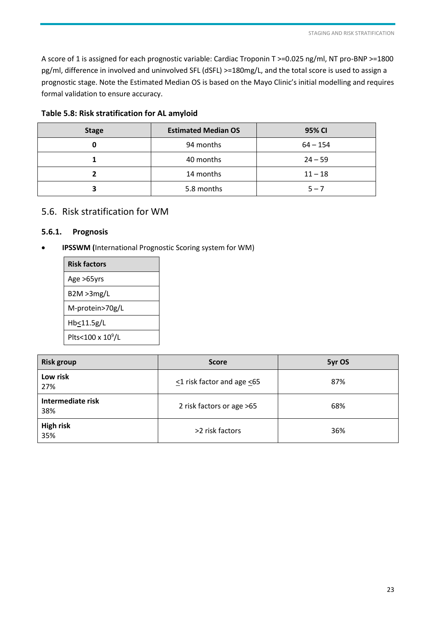<span id="page-22-0"></span>A score of 1 is assigned for each prognostic variable: Cardiac Troponin T >=0.025 ng/ml, NT pro-BNP >=1800 pg/ml, difference in involved and uninvolved SFL (dSFL) >=180mg/L, and the total score is used to assign a prognostic stage. Note the Estimated Median OS is based on the Mayo Clinic's initial modelling and requires formal validation to ensure accuracy.

| <b>Stage</b> | <b>Estimated Median OS</b> | 95% CI     |
|--------------|----------------------------|------------|
|              | 94 months                  | $64 - 154$ |
|              | 40 months                  | $24 - 59$  |
|              | 14 months                  | $11 - 18$  |
|              | 5.8 months                 | $5 - 7$    |

#### **Table 5.8: Risk stratification for AL amyloid**

#### 5.6. Risk stratification for WM

#### **5.6.1. Prognosis**

**IPSSWM (**International Prognostic Scoring system for WM)

| <b>Risk factors</b>           |
|-------------------------------|
| Age >65yrs                    |
| B2M > 3mg/L                   |
| M-protein>70g/L               |
| Hb<11.5g/L                    |
| Plts<100 x 10 <sup>9</sup> /L |

| <b>Risk group</b>        | <b>Score</b>               | 5yr OS |
|--------------------------|----------------------------|--------|
| Low risk<br>27%          | <1 risk factor and age <65 | 87%    |
| Intermediate risk<br>38% | 2 risk factors or age >65  | 68%    |
| <b>High risk</b><br>35%  | >2 risk factors            | 36%    |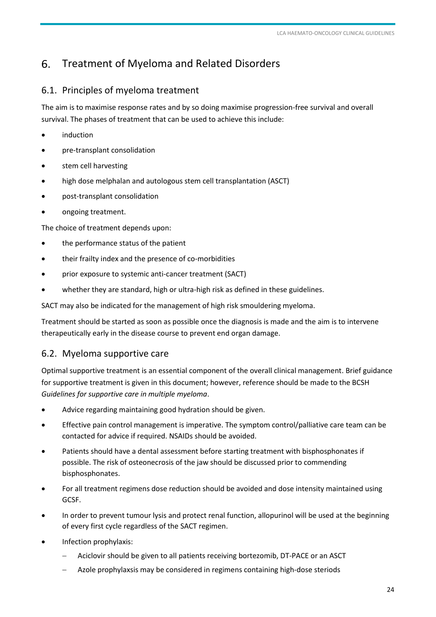#### <span id="page-23-0"></span>Treatment of Myeloma and Related Disorders 6.

## 6.1. Principles of myeloma treatment

The aim is to maximise response rates and by so doing maximise progression-free survival and overall survival. The phases of treatment that can be used to achieve this include:

- induction
- pre-transplant consolidation
- stem cell harvesting
- high dose melphalan and autologous stem cell transplantation (ASCT)
- post-transplant consolidation
- ongoing treatment.

The choice of treatment depends upon:

- the performance status of the patient
- their frailty index and the presence of co-morbidities
- prior exposure to systemic anti-cancer treatment (SACT)
- whether they are standard, high or ultra-high risk as defined in these guidelines.

SACT may also be indicated for the management of high risk smouldering myeloma.

Treatment should be started as soon as possible once the diagnosis is made and the aim is to intervene therapeutically early in the disease course to prevent end organ damage.

# 6.2. Myeloma supportive care

Optimal supportive treatment is an essential component of the overall clinical management. Brief guidance for supportive treatment is given in this document; however, reference should be made to the BCSH *Guidelines for supportive care in multiple myeloma*.

- Advice regarding maintaining good hydration should be given.
- Effective pain control management is imperative. The symptom control/palliative care team can be contacted for advice if required. NSAIDs should be avoided.
- Patients should have a dental assessment before starting treatment with bisphosphonates if possible. The risk of osteonecrosis of the jaw should be discussed prior to commending bisphosphonates.
- For all treatment regimens dose reduction should be avoided and dose intensity maintained using GCSF.
- In order to prevent tumour lysis and protect renal function, allopurinol will be used at the beginning of every first cycle regardless of the SACT regimen.
- Infection prophylaxis:
	- Aciclovir should be given to all patients receiving bortezomib, DT-PACE or an ASCT
	- Azole prophylaxsis may be considered in regimens containing high-dose steriods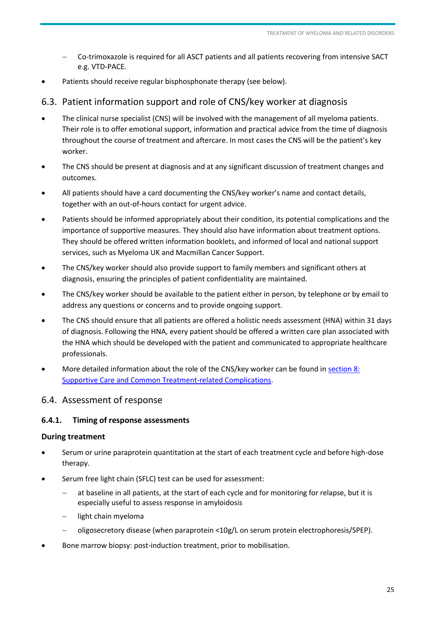- <span id="page-24-0"></span> Co-trimoxazole is required for all ASCT patients and all patients recovering from intensive SACT e.g. VTD-PACE.
- Patients should receive regular bisphosphonate therapy (see below).

## 6.3. Patient information support and role of CNS/key worker at diagnosis

- The clinical nurse specialist (CNS) will be involved with the management of all myeloma patients. Their role is to offer emotional support, information and practical advice from the time of diagnosis throughout the course of treatment and aftercare. In most cases the CNS will be the patient's key worker.
- The CNS should be present at diagnosis and at any significant discussion of treatment changes and outcomes.
- All patients should have a card documenting the CNS/key worker's name and contact details, together with an out-of-hours contact for urgent advice.
- Patients should be informed appropriately about their condition, its potential complications and the importance of supportive measures. They should also have information about treatment options. They should be offered written information booklets, and informed of local and national support services, such as Myeloma UK and Macmillan Cancer Support.
- The CNS/key worker should also provide support to family members and significant others at diagnosis, ensuring the principles of patient confidentiality are maintained.
- The CNS/key worker should be available to the patient either in person, by telephone or by email to address any questions or concerns and to provide ongoing support.
- The CNS should ensure that all patients are offered a holistic needs assessment (HNA) within 31 days of diagnosis. Following the HNA, every patient should be offered a written care plan associated with the HNA which should be developed with the patient and communicated to appropriate healthcare professionals.
- More detailed information about the role of the CNS/key worker can be found in [section 8:](#page-39-1)  [Supportive Care and Common Treatment-related Complications.](#page-39-1)

#### 6.4. Assessment of response

#### **6.4.1. Timing of response assessments**

#### **During treatment**

- Serum or urine paraprotein quantitation at the start of each treatment cycle and before high-dose therapy.
- Serum free light chain (SFLC) test can be used for assessment:
	- at baseline in all patients, at the start of each cycle and for monitoring for relapse, but it is especially useful to assess response in amyloidosis
	- light chain myeloma
	- oligosecretory disease (when paraprotein <10g/L on serum protein electrophoresis/SPEP).
- Bone marrow biopsy: post-induction treatment, prior to mobilisation.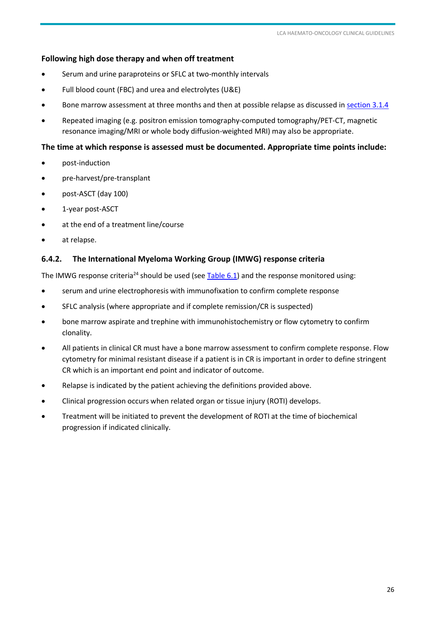#### **Following high dose therapy and when off treatment**

- Serum and urine paraproteins or SFLC at two-monthly intervals
- Full blood count (FBC) and urea and electrolytes (U&E)
- Bone marrow assessment at three months and then at possible relapse as discussed i[n section 3.1.4](#page-11-1)
- Repeated imaging (e.g. positron emission tomography-computed tomography/PET-CT, magnetic resonance imaging/MRI or whole body diffusion-weighted MRI) may also be appropriate.

#### **The time at which response is assessed must be documented. Appropriate time points include:**

- post-induction
- pre-harvest/pre-transplant
- post-ASCT (day 100)
- 1-year post-ASCT
- at the end of a treatment line/course
- at relapse.

#### **6.4.2. The International Myeloma Working Group (IMWG) response criteria**

The IMWG response criteria<sup>24</sup> should be used (see [Table 6.1\)](#page-25-0) and the response monitored using:

- serum and urine electrophoresis with immunofixation to confirm complete response
- SFLC analysis (where appropriate and if complete remission/CR is suspected)
- bone marrow aspirate and trephine with immunohistochemistry or flow cytometry to confirm clonality.
- All patients in clinical CR must have a bone marrow assessment to confirm complete response. Flow cytometry for minimal resistant disease if a patient is in CR is important in order to define stringent CR which is an important end point and indicator of outcome.
- Relapse is indicated by the patient achieving the definitions provided above.
- Clinical progression occurs when related organ or tissue injury (ROTI) develops.
- <span id="page-25-0"></span> Treatment will be initiated to prevent the development of ROTI at the time of biochemical progression if indicated clinically.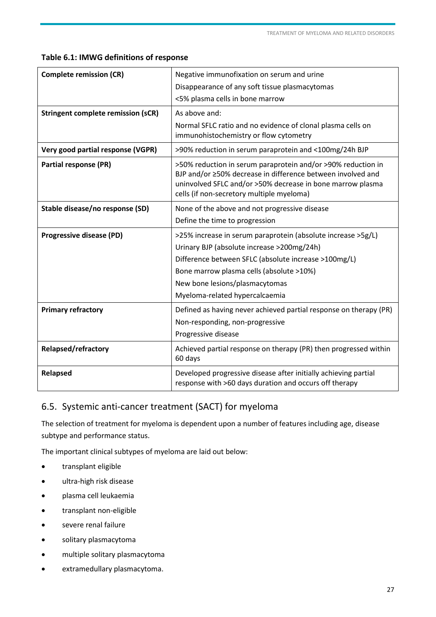#### <span id="page-26-0"></span>**Table 6.1: IMWG definitions of response**

| <b>Complete remission (CR)</b>            | Negative immunofixation on serum and urine                                                                                                                                                                                             |
|-------------------------------------------|----------------------------------------------------------------------------------------------------------------------------------------------------------------------------------------------------------------------------------------|
|                                           | Disappearance of any soft tissue plasmacytomas                                                                                                                                                                                         |
|                                           | <5% plasma cells in bone marrow                                                                                                                                                                                                        |
| <b>Stringent complete remission (sCR)</b> | As above and:                                                                                                                                                                                                                          |
|                                           | Normal SFLC ratio and no evidence of clonal plasma cells on<br>immunohistochemistry or flow cytometry                                                                                                                                  |
| Very good partial response (VGPR)         | >90% reduction in serum paraprotein and <100mg/24h BJP                                                                                                                                                                                 |
| <b>Partial response (PR)</b>              | >50% reduction in serum paraprotein and/or >90% reduction in<br>BJP and/or ≥50% decrease in difference between involved and<br>uninvolved SFLC and/or >50% decrease in bone marrow plasma<br>cells (if non-secretory multiple myeloma) |
| Stable disease/no response (SD)           | None of the above and not progressive disease                                                                                                                                                                                          |
|                                           | Define the time to progression                                                                                                                                                                                                         |
| <b>Progressive disease (PD)</b>           | >25% increase in serum paraprotein (absolute increase >5g/L)                                                                                                                                                                           |
|                                           | Urinary BJP (absolute increase >200mg/24h)                                                                                                                                                                                             |
|                                           | Difference between SFLC (absolute increase >100mg/L)                                                                                                                                                                                   |
|                                           | Bone marrow plasma cells (absolute >10%)                                                                                                                                                                                               |
|                                           | New bone lesions/plasmacytomas                                                                                                                                                                                                         |
|                                           | Myeloma-related hypercalcaemia                                                                                                                                                                                                         |
| <b>Primary refractory</b>                 | Defined as having never achieved partial response on therapy (PR)                                                                                                                                                                      |
|                                           | Non-responding, non-progressive                                                                                                                                                                                                        |
|                                           | Progressive disease                                                                                                                                                                                                                    |
| <b>Relapsed/refractory</b>                | Achieved partial response on therapy (PR) then progressed within<br>60 days                                                                                                                                                            |
| Relapsed                                  | Developed progressive disease after initially achieving partial<br>response with >60 days duration and occurs off therapy                                                                                                              |

# 6.5. Systemic anti-cancer treatment (SACT) for myeloma

The selection of treatment for myeloma is dependent upon a number of features including age, disease subtype and performance status.

The important clinical subtypes of myeloma are laid out below:

- transplant eligible
- ultra-high risk disease
- plasma cell leukaemia
- transplant non-eligible
- severe renal failure
- solitary plasmacytoma
- multiple solitary plasmacytoma
- extramedullary plasmacytoma.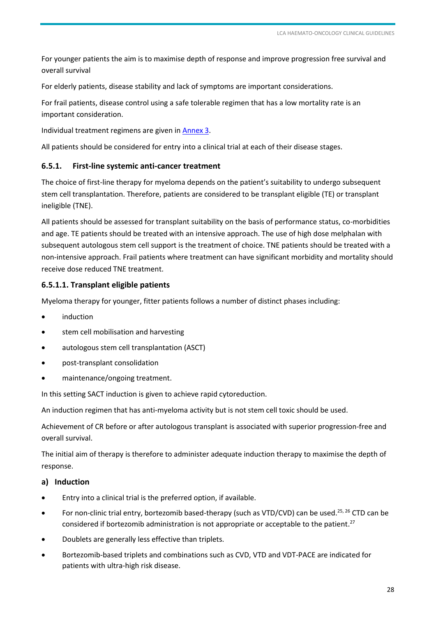For younger patients the aim is to maximise depth of response and improve progression free survival and overall survival

For elderly patients, disease stability and lack of symptoms are important considerations.

For frail patients, disease control using a safe tolerable regimen that has a low mortality rate is an important consideration.

Individual treatment regimens are given in [Annex 3.](#page-56-1)

All patients should be considered for entry into a clinical trial at each of their disease stages.

#### **6.5.1. First-line systemic anti-cancer treatment**

The choice of first-line therapy for myeloma depends on the patient's suitability to undergo subsequent stem cell transplantation. Therefore, patients are considered to be transplant eligible (TE) or transplant ineligible (TNE).

All patients should be assessed for transplant suitability on the basis of performance status, co-morbidities and age. TE patients should be treated with an intensive approach. The use of high dose melphalan with subsequent autologous stem cell support is the treatment of choice. TNE patients should be treated with a non-intensive approach. Frail patients where treatment can have significant morbidity and mortality should receive dose reduced TNE treatment.

#### **6.5.1.1. Transplant eligible patients**

Myeloma therapy for younger, fitter patients follows a number of distinct phases including:

- induction
- stem cell mobilisation and harvesting
- autologous stem cell transplantation (ASCT)
- post-transplant consolidation
- maintenance/ongoing treatment.

In this setting SACT induction is given to achieve rapid cytoreduction.

An induction regimen that has anti-myeloma activity but is not stem cell toxic should be used.

Achievement of CR before or after autologous transplant is associated with superior progression-free and overall survival.

The initial aim of therapy is therefore to administer adequate induction therapy to maximise the depth of response.

#### **a) Induction**

- Entry into a clinical trial is the preferred option, if available.
- For non-clinic trial entry, bortezomib based-therapy (such as VTD/CVD) can be used.<sup>25, 26</sup> CTD can be considered if bortezomib administration is not appropriate or acceptable to the patient.<sup>27</sup>
- Doublets are generally less effective than triplets.
- Bortezomib-based triplets and combinations such as CVD, VTD and VDT-PACE are indicated for patients with ultra-high risk disease.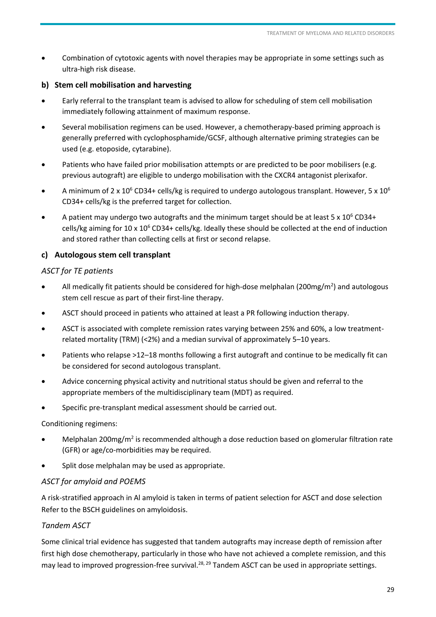Combination of cytotoxic agents with novel therapies may be appropriate in some settings such as ultra-high risk disease.

#### **b) Stem cell mobilisation and harvesting**

- Early referral to the transplant team is advised to allow for scheduling of stem cell mobilisation immediately following attainment of maximum response.
- Several mobilisation regimens can be used. However, a chemotherapy-based priming approach is generally preferred with cyclophosphamide/GCSF, although alternative priming strategies can be used (e.g. etoposide, cytarabine).
- Patients who have failed prior mobilisation attempts or are predicted to be poor mobilisers (e.g. previous autograft) are eligible to undergo mobilisation with the CXCR4 antagonist plerixafor.
- A minimum of 2 x 10<sup>6</sup> CD34+ cells/kg is required to undergo autologous transplant. However, 5 x 10<sup>6</sup> CD34+ cells/kg is the preferred target for collection.
- A patient may undergo two autografts and the minimum target should be at least 5 x  $10^6$  CD34+ cells/kg aiming for  $10 \times 10^6$  CD34+ cells/kg. Ideally these should be collected at the end of induction and stored rather than collecting cells at first or second relapse.

#### **c) Autologous stem cell transplant**

#### *ASCT for TE patients*

- All medically fit patients should be considered for high-dose melphalan (200mg/m<sup>2</sup>) and autologous stem cell rescue as part of their first-line therapy.
- ASCT should proceed in patients who attained at least a PR following induction therapy.
- ASCT is associated with complete remission rates varying between 25% and 60%, a low treatmentrelated mortality (TRM) (<2%) and a median survival of approximately 5–10 years.
- Patients who relapse >12–18 months following a first autograft and continue to be medically fit can be considered for second autologous transplant.
- Advice concerning physical activity and nutritional status should be given and referral to the appropriate members of the multidisciplinary team (MDT) as required.
- Specific pre-transplant medical assessment should be carried out.

Conditioning regimens:

- Melphalan 200mg/m<sup>2</sup> is recommended although a dose reduction based on glomerular filtration rate (GFR) or age/co-morbidities may be required.
- Split dose melphalan may be used as appropriate.

#### *ASCT for amyloid and POEMS*

A risk-stratified approach in Al amyloid is taken in terms of patient selection for ASCT and dose selection Refer to the BSCH guidelines on amyloidosis.

#### *Tandem ASCT*

Some clinical trial evidence has suggested that tandem autografts may increase depth of remission after first high dose chemotherapy, particularly in those who have not achieved a complete remission, and this may lead to improved progression-free survival.<sup>28, 29</sup> Tandem ASCT can be used in appropriate settings.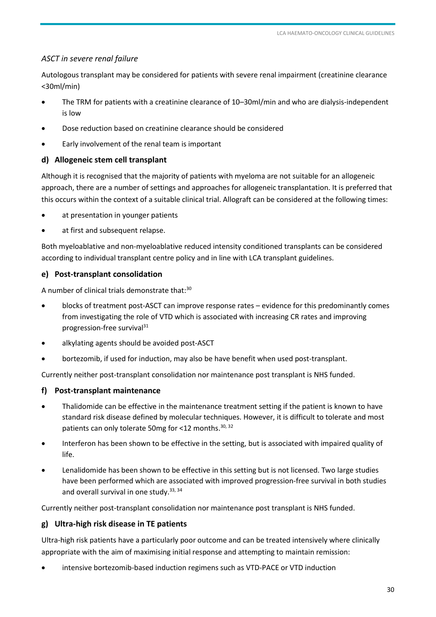#### *ASCT in severe renal failure*

Autologous transplant may be considered for patients with severe renal impairment (creatinine clearance <30ml/min)

- The TRM for patients with a creatinine clearance of 10–30ml/min and who are dialysis-independent is low
- Dose reduction based on creatinine clearance should be considered
- Early involvement of the renal team is important

#### **d) Allogeneic stem cell transplant**

Although it is recognised that the majority of patients with myeloma are not suitable for an allogeneic approach, there are a number of settings and approaches for allogeneic transplantation. It is preferred that this occurs within the context of a suitable clinical trial. Allograft can be considered at the following times:

- at presentation in younger patients
- at first and subsequent relapse.

Both myeloablative and non-myeloablative reduced intensity conditioned transplants can be considered according to individual transplant centre policy and in line with LCA transplant guidelines.

#### **e) Post-transplant consolidation**

A number of clinical trials demonstrate that:<sup>30</sup>

- blocks of treatment post-ASCT can improve response rates evidence for this predominantly comes from investigating the role of VTD which is associated with increasing CR rates and improving progression-free survival<sup>31</sup>
- alkylating agents should be avoided post-ASCT
- bortezomib, if used for induction, may also be have benefit when used post-transplant.

Currently neither post-transplant consolidation nor maintenance post transplant is NHS funded.

#### **f) Post-transplant maintenance**

- Thalidomide can be effective in the maintenance treatment setting if the patient is known to have standard risk disease defined by molecular techniques. However, it is difficult to tolerate and most patients can only tolerate 50mg for <12 months. 30, 32
- Interferon has been shown to be effective in the setting, but is associated with impaired quality of life.
- Lenalidomide has been shown to be effective in this setting but is not licensed. Two large studies have been performed which are associated with improved progression-free survival in both studies and overall survival in one study.  $33, 34$

Currently neither post-transplant consolidation nor maintenance post transplant is NHS funded.

#### **g) Ultra-high risk disease in TE patients**

Ultra-high risk patients have a particularly poor outcome and can be treated intensively where clinically appropriate with the aim of maximising initial response and attempting to maintain remission:

intensive bortezomib-based induction regimens such as VTD-PACE or VTD induction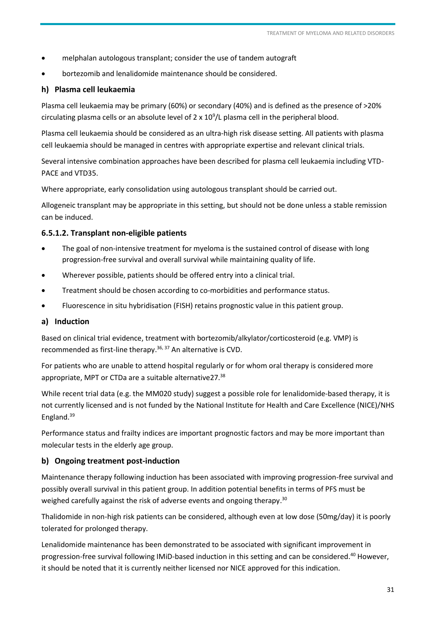- melphalan autologous transplant; consider the use of tandem autograft
- bortezomib and lenalidomide maintenance should be considered.

#### **h) Plasma cell leukaemia**

Plasma cell leukaemia may be primary (60%) or secondary (40%) and is defined as the presence of >20% circulating plasma cells or an absolute level of  $2 \times 10^9$ /L plasma cell in the peripheral blood.

Plasma cell leukaemia should be considered as an ultra-high risk disease setting. All patients with plasma cell leukaemia should be managed in centres with appropriate expertise and relevant clinical trials.

Several intensive combination approaches have been described for plasma cell leukaemia including VTD-PACE and VTD35.

Where appropriate, early consolidation using autologous transplant should be carried out.

Allogeneic transplant may be appropriate in this setting, but should not be done unless a stable remission can be induced.

#### **6.5.1.2. Transplant non-eligible patients**

- The goal of non-intensive treatment for myeloma is the sustained control of disease with long progression-free survival and overall survival while maintaining quality of life.
- Wherever possible, patients should be offered entry into a clinical trial.
- Treatment should be chosen according to co-morbidities and performance status.
- Fluorescence in situ hybridisation (FISH) retains prognostic value in this patient group.

#### **a) Induction**

Based on clinical trial evidence, treatment with bortezomib/alkylator/corticosteroid (e.g. VMP) is recommended as first-line therapy.<sup>36, 37</sup> An alternative is CVD.

For patients who are unable to attend hospital regularly or for whom oral therapy is considered more appropriate, MPT or CTDa are a suitable alternative27.<sup>38</sup>

While recent trial data (e.g. the MM020 study) suggest a possible role for lenalidomide-based therapy, it is not currently licensed and is not funded by the National Institute for Health and Care Excellence (NICE)/NHS England. 39

Performance status and frailty indices are important prognostic factors and may be more important than molecular tests in the elderly age group.

#### **b) Ongoing treatment post-induction**

Maintenance therapy following induction has been associated with improving progression-free survival and possibly overall survival in this patient group. In addition potential benefits in terms of PFS must be weighed carefully against the risk of adverse events and ongoing therapy.<sup>30</sup>

Thalidomide in non-high risk patients can be considered, although even at low dose (50mg/day) it is poorly tolerated for prolonged therapy.

Lenalidomide maintenance has been demonstrated to be associated with significant improvement in progression-free survival following IMiD-based induction in this setting and can be considered.<sup>40</sup> However, it should be noted that it is currently neither licensed nor NICE approved for this indication.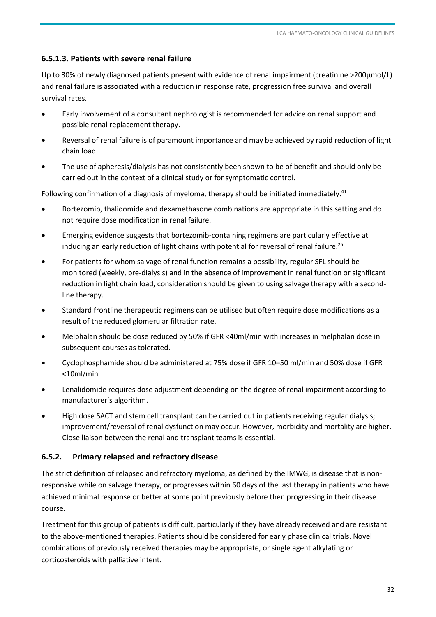#### **6.5.1.3. Patients with severe renal failure**

Up to 30% of newly diagnosed patients present with evidence of renal impairment (creatinine >200µmol/L) and renal failure is associated with a reduction in response rate, progression free survival and overall survival rates.

- Early involvement of a consultant nephrologist is recommended for advice on renal support and possible renal replacement therapy.
- Reversal of renal failure is of paramount importance and may be achieved by rapid reduction of light chain load.
- The use of apheresis/dialysis has not consistently been shown to be of benefit and should only be carried out in the context of a clinical study or for symptomatic control.

Following confirmation of a diagnosis of myeloma, therapy should be initiated immediately.<sup>41</sup>

- Bortezomib, thalidomide and dexamethasone combinations are appropriate in this setting and do not require dose modification in renal failure.
- Emerging evidence suggests that bortezomib-containing regimens are particularly effective at inducing an early reduction of light chains with potential for reversal of renal failure.<sup>26</sup>
- For patients for whom salvage of renal function remains a possibility, regular SFL should be monitored (weekly, pre-dialysis) and in the absence of improvement in renal function or significant reduction in light chain load, consideration should be given to using salvage therapy with a secondline therapy.
- Standard frontline therapeutic regimens can be utilised but often require dose modifications as a result of the reduced glomerular filtration rate.
- Melphalan should be dose reduced by 50% if GFR <40ml/min with increases in melphalan dose in subsequent courses as tolerated.
- Cyclophosphamide should be administered at 75% dose if GFR 10–50 ml/min and 50% dose if GFR <10ml/min.
- Lenalidomide requires dose adjustment depending on the degree of renal impairment according to manufacturer's algorithm.
- High dose SACT and stem cell transplant can be carried out in patients receiving regular dialysis; improvement/reversal of renal dysfunction may occur. However, morbidity and mortality are higher. Close liaison between the renal and transplant teams is essential.

#### **6.5.2. Primary relapsed and refractory disease**

The strict definition of relapsed and refractory myeloma, as defined by the IMWG, is disease that is nonresponsive while on salvage therapy, or progresses within 60 days of the last therapy in patients who have achieved minimal response or better at some point previously before then progressing in their disease course.

Treatment for this group of patients is difficult, particularly if they have already received and are resistant to the above-mentioned therapies. Patients should be considered for early phase clinical trials. Novel combinations of previously received therapies may be appropriate, or single agent alkylating or corticosteroids with palliative intent.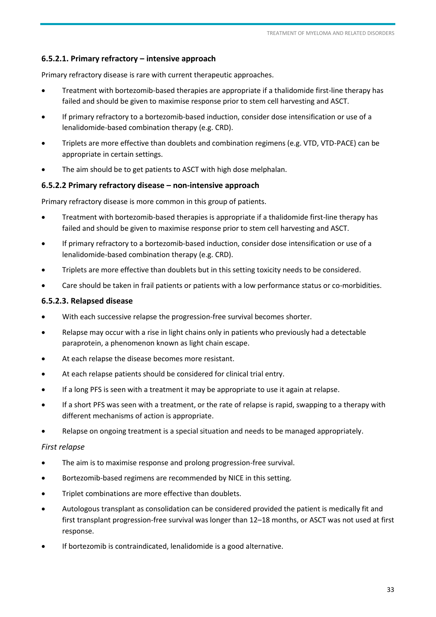#### **6.5.2.1. Primary refractory – intensive approach**

Primary refractory disease is rare with current therapeutic approaches.

- Treatment with bortezomib-based therapies are appropriate if a thalidomide first-line therapy has failed and should be given to maximise response prior to stem cell harvesting and ASCT.
- If primary refractory to a bortezomib-based induction, consider dose intensification or use of a lenalidomide-based combination therapy (e.g. CRD).
- Triplets are more effective than doublets and combination regimens (e.g. VTD, VTD-PACE) can be appropriate in certain settings.
- The aim should be to get patients to ASCT with high dose melphalan.

#### **6.5.2.2 Primary refractory disease – non-intensive approach**

Primary refractory disease is more common in this group of patients.

- Treatment with bortezomib-based therapies is appropriate if a thalidomide first-line therapy has failed and should be given to maximise response prior to stem cell harvesting and ASCT.
- If primary refractory to a bortezomib-based induction, consider dose intensification or use of a lenalidomide-based combination therapy (e.g. CRD).
- Triplets are more effective than doublets but in this setting toxicity needs to be considered.
- Care should be taken in frail patients or patients with a low performance status or co-morbidities.

#### **6.5.2.3. Relapsed disease**

- With each successive relapse the progression-free survival becomes shorter.
- Relapse may occur with a rise in light chains only in patients who previously had a detectable paraprotein, a phenomenon known as light chain escape.
- At each relapse the disease becomes more resistant.
- At each relapse patients should be considered for clinical trial entry.
- If a long PFS is seen with a treatment it may be appropriate to use it again at relapse.
- If a short PFS was seen with a treatment, or the rate of relapse is rapid, swapping to a therapy with different mechanisms of action is appropriate.
- Relapse on ongoing treatment is a special situation and needs to be managed appropriately.

#### *First relapse*

- The aim is to maximise response and prolong progression-free survival.
- Bortezomib-based regimens are recommended by NICE in this setting.
- Triplet combinations are more effective than doublets.
- Autologous transplant as consolidation can be considered provided the patient is medically fit and first transplant progression-free survival was longer than 12–18 months, or ASCT was not used at first response.
- If bortezomib is contraindicated, lenalidomide is a good alternative.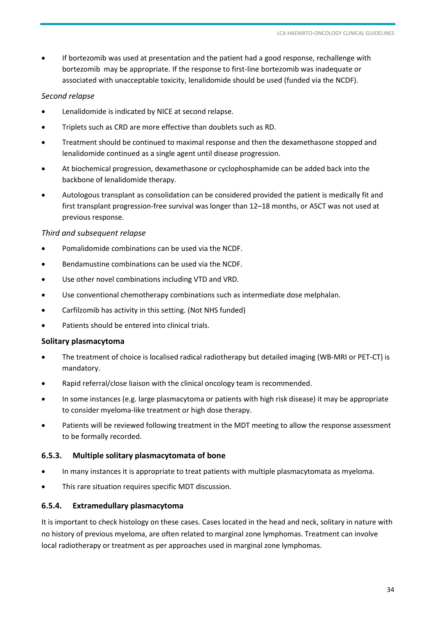If bortezomib was used at presentation and the patient had a good response, rechallenge with bortezomib may be appropriate. If the response to first-line bortezomib was inadequate or associated with unacceptable toxicity, lenalidomide should be used (funded via the NCDF).

#### *Second relapse*

- Lenalidomide is indicated by NICE at second relapse.
- Triplets such as CRD are more effective than doublets such as RD.
- Treatment should be continued to maximal response and then the dexamethasone stopped and lenalidomide continued as a single agent until disease progression.
- At biochemical progression, dexamethasone or cyclophosphamide can be added back into the backbone of lenalidomide therapy.
- Autologous transplant as consolidation can be considered provided the patient is medically fit and first transplant progression-free survival was longer than 12–18 months, or ASCT was not used at previous response.

#### *Third and subsequent relapse*

- Pomalidomide combinations can be used via the NCDF.
- Bendamustine combinations can be used via the NCDF.
- Use other novel combinations including VTD and VRD.
- Use conventional chemotherapy combinations such as intermediate dose melphalan.
- Carfilzomib has activity in this setting. (Not NHS funded)
- Patients should be entered into clinical trials.

#### **Solitary plasmacytoma**

- The treatment of choice is localised radical radiotherapy but detailed imaging (WB-MRI or PET-CT) is mandatory.
- Rapid referral/close liaison with the clinical oncology team is recommended.
- In some instances (e.g. large plasmacytoma or patients with high risk disease) it may be appropriate to consider myeloma-like treatment or high dose therapy.
- Patients will be reviewed following treatment in the MDT meeting to allow the response assessment to be formally recorded.

#### **6.5.3. Multiple solitary plasmacytomata of bone**

- In many instances it is appropriate to treat patients with multiple plasmacytomata as myeloma.
- This rare situation requires specific MDT discussion.

#### **6.5.4. Extramedullary plasmacytoma**

It is important to check histology on these cases. Cases located in the head and neck, solitary in nature with no history of previous myeloma, are often related to marginal zone lymphomas. Treatment can involve local radiotherapy or treatment as per approaches used in marginal zone lymphomas.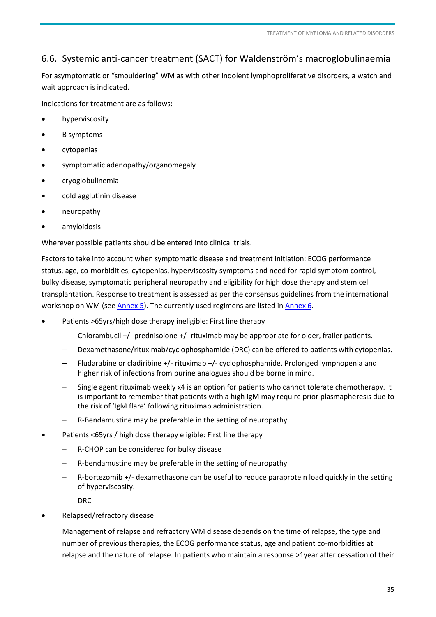# <span id="page-34-0"></span>6.6. Systemic anti-cancer treatment (SACT) for Waldenström's macroglobulinaemia

For asymptomatic or "smouldering" WM as with other indolent lymphoproliferative disorders, a watch and wait approach is indicated.

Indications for treatment are as follows:

- hyperviscosity
- B symptoms
- cytopenias
- symptomatic adenopathy/organomegaly
- cryoglobulinemia
- cold agglutinin disease
- neuropathy
- amyloidosis

Wherever possible patients should be entered into clinical trials.

Factors to take into account when symptomatic disease and treatment initiation: ECOG performance status, age, co-morbidities, cytopenias, hyperviscosity symptoms and need for rapid symptom control, bulky disease, symptomatic peripheral neuropathy and eligibility for high dose therapy and stem cell transplantation. Response to treatment is assessed as per the consensus guidelines from the international workshop on WM (see [Annex 5\)](#page-58-1). The currently used regimens are listed i[n Annex 6.](#page-59-1)

- Patients >65yrs/high dose therapy ineligible: First line therapy
	- Chlorambucil +/- prednisolone +/- rituximab may be appropriate for older, frailer patients.
	- Dexamethasone/rituximab/cyclophosphamide (DRC) can be offered to patients with cytopenias.
	- Fludarabine or cladiribine +/- rituximab +/- cyclophosphamide. Prolonged lymphopenia and higher risk of infections from purine analogues should be borne in mind.
	- Single agent rituximab weekly x4 is an option for patients who cannot tolerate chemotherapy. It is important to remember that patients with a high IgM may require prior plasmapheresis due to the risk of 'IgM flare' following rituximab administration.
	- R-Bendamustine may be preferable in the setting of neuropathy
- Patients <65yrs / high dose therapy eligible: First line therapy
	- R-CHOP can be considered for bulky disease
	- R-bendamustine may be preferable in the setting of neuropathy
	- R-bortezomib +/- dexamethasone can be useful to reduce paraprotein load quickly in the setting of hyperviscosity.
	- DRC
- Relapsed/refractory disease

Management of relapse and refractory WM disease depends on the time of relapse, the type and number of previous therapies, the ECOG performance status, age and patient co-morbidities at relapse and the nature of relapse. In patients who maintain a response >1year after cessation of their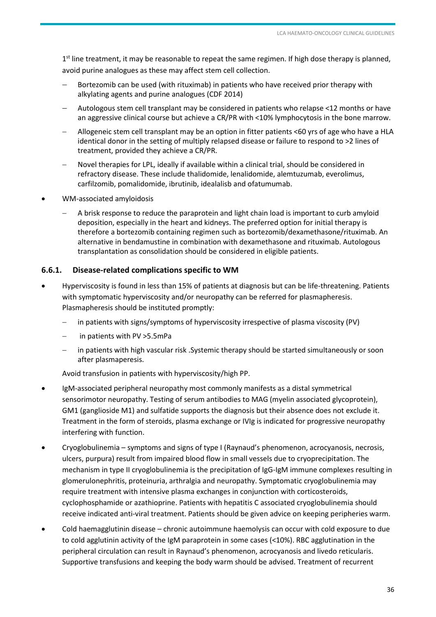1<sup>st</sup> line treatment, it may be reasonable to repeat the same regimen. If high dose therapy is planned, avoid purine analogues as these may affect stem cell collection.

- Bortezomib can be used (with rituximab) in patients who have received prior therapy with alkylating agents and purine analogues (CDF 2014)
- Autologous stem cell transplant may be considered in patients who relapse <12 months or have an aggressive clinical course but achieve a CR/PR with <10% lymphocytosis in the bone marrow.
- Allogeneic stem cell transplant may be an option in fitter patients <60 yrs of age who have a HLA identical donor in the setting of multiply relapsed disease or failure to respond to >2 lines of treatment, provided they achieve a CR/PR.
- Novel therapies for LPL, ideally if available within a clinical trial, should be considered in refractory disease. These include thalidomide, lenalidomide, alemtuzumab, everolimus, carfilzomib, pomalidomide, ibrutinib, idealalisb and ofatumumab.
- WM-associated amyloidosis
	- A brisk response to reduce the paraprotein and light chain load is important to curb amyloid deposition, especially in the heart and kidneys. The preferred option for initial therapy is therefore a bortezomib containing regimen such as bortezomib/dexamethasone/rituximab. An alternative in bendamustine in combination with dexamethasone and rituximab. Autologous transplantation as consolidation should be considered in eligible patients.

#### **6.6.1. Disease-related complications specific to WM**

- Hyperviscosity is found in less than 15% of patients at diagnosis but can be life-threatening. Patients with symptomatic hyperviscosity and/or neuropathy can be referred for plasmapheresis. Plasmapheresis should be instituted promptly:
	- in patients with signs/symptoms of hyperviscosity irrespective of plasma viscosity (PV)
	- in patients with PV >5.5mPa
	- in patients with high vascular risk .Systemic therapy should be started simultaneously or soon after plasmaperesis.

Avoid transfusion in patients with hyperviscosity/high PP.

- IgM-associated peripheral neuropathy most commonly manifests as a distal symmetrical sensorimotor neuropathy. Testing of serum antibodies to MAG (myelin associated glycoprotein), GM1 (ganglioside M1) and sulfatide supports the diagnosis but their absence does not exclude it. Treatment in the form of steroids, plasma exchange or IVIg is indicated for progressive neuropathy interfering with function.
- Cryoglobulinemia symptoms and signs of type I (Raynaud's phenomenon, acrocyanosis, necrosis, ulcers, purpura) result from impaired blood flow in small vessels due to cryoprecipitation. The mechanism in type II cryoglobulinemia is the precipitation of IgG-IgM immune complexes resulting in glomerulonephritis, proteinuria, arthralgia and neuropathy. Symptomatic cryoglobulinemia may require treatment with intensive plasma exchanges in conjunction with corticosteroids, cyclophosphamide or azathioprine. Patients with hepatitis C associated cryoglobulinemia should receive indicated anti-viral treatment. Patients should be given advice on keeping peripheries warm.
- Cold haemagglutinin disease chronic autoimmune haemolysis can occur with cold exposure to due to cold agglutinin activity of the IgM paraprotein in some cases (<10%). RBC agglutination in the peripheral circulation can result in Raynaud's phenomenon, acrocyanosis and livedo reticularis. Supportive transfusions and keeping the body warm should be advised. Treatment of recurrent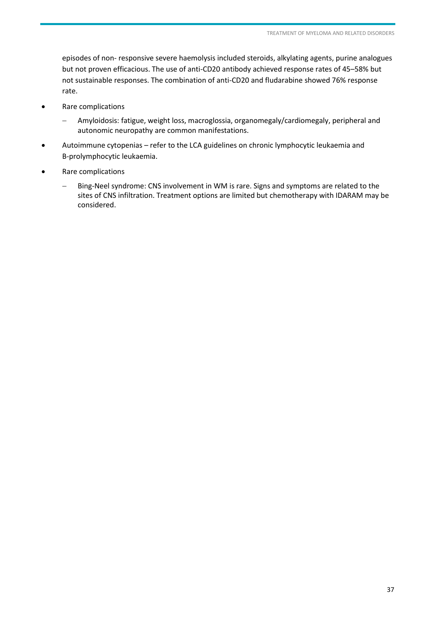episodes of non- responsive severe haemolysis included steroids, alkylating agents, purine analogues but not proven efficacious. The use of anti-CD20 antibody achieved response rates of 45–58% but not sustainable responses. The combination of anti-CD20 and fludarabine showed 76% response rate.

- Rare complications
	- Amyloidosis: fatigue, weight loss, macroglossia, organomegaly/cardiomegaly, peripheral and autonomic neuropathy are common manifestations.
- Autoimmune cytopenias refer to the LCA guidelines on chronic lymphocytic leukaemia and B-prolymphocytic leukaemia.
- Rare complications
	- Bing-Neel syndrome: CNS involvement in WM is rare. Signs and symptoms are related to the sites of CNS infiltration. Treatment options are limited but chemotherapy with IDARAM may be considered.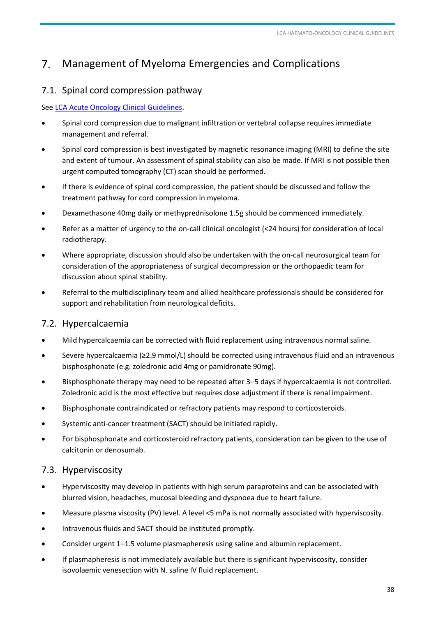#### <span id="page-37-0"></span> $7.$ Management of Myeloma Emergencies and Complications

# <span id="page-37-1"></span>7.1. Spinal cord compression pathway

#### See [LCA Acute Oncology Clinical Guidelines.](http://www.londoncanceralliance.nhs.uk/media/102776/lca-acute-oncology-clinical-guidelines-updated-november-2014-.pdf)

- Spinal cord compression due to malignant infiltration or vertebral collapse requires immediate management and referral.
- Spinal cord compression is best investigated by magnetic resonance imaging (MRI) to define the site and extent of tumour. An assessment of spinal stability can also be made. If MRI is not possible then urgent computed tomography (CT) scan should be performed.
- If there is evidence of spinal cord compression, the patient should be discussed and follow the treatment pathway for cord compression in myeloma.
- Dexamethasone 40mg daily or methyprednisolone 1.5g should be commenced immediately.
- Refer as a matter of urgency to the on-call clinical oncologist (<24 hours) for consideration of local radiotherapy.
- Where appropriate, discussion should also be undertaken with the on-call neurosurgical team for consideration of the appropriateness of surgical decompression or the orthopaedic team for discussion about spinal stability.
- Referral to the multidisciplinary team and allied healthcare professionals should be considered for support and rehabilitation from neurological deficits.

# 7.2. Hypercalcaemia

- Mild hypercalcaemia can be corrected with fluid replacement using intravenous normal saline.
- Severe hypercalcaemia (≥2.9 mmol/L) should be corrected using intravenous fluid and an intravenous bisphosphonate (e.g. zoledronic acid 4mg or pamidronate 90mg).
- Bisphosphonate therapy may need to be repeated after 3–5 days if hypercalcaemia is not controlled. Zoledronic acid is the most effective but requires dose adjustment if there is renal impairment.
- Bisphosphonate contraindicated or refractory patients may respond to corticosteroids.
- Systemic anti-cancer treatment (SACT) should be initiated rapidly.
- For bisphosphonate and corticosteroid refractory patients, consideration can be given to the use of calcitonin or denosumab.

# 7.3. Hyperviscosity

- Hyperviscosity may develop in patients with high serum paraproteins and can be associated with blurred vision, headaches, mucosal bleeding and dyspnoea due to heart failure.
- Measure plasma viscosity (PV) level. A level <5 mPa is not normally associated with hyperviscosity.
- Intravenous fluids and SACT should be instituted promptly.
- Consider urgent 1–1.5 volume plasmapheresis using saline and albumin replacement.
- If plasmapheresis is not immediately available but there is significant hyperviscosity, consider isovolaemic venesection with N. saline IV fluid replacement.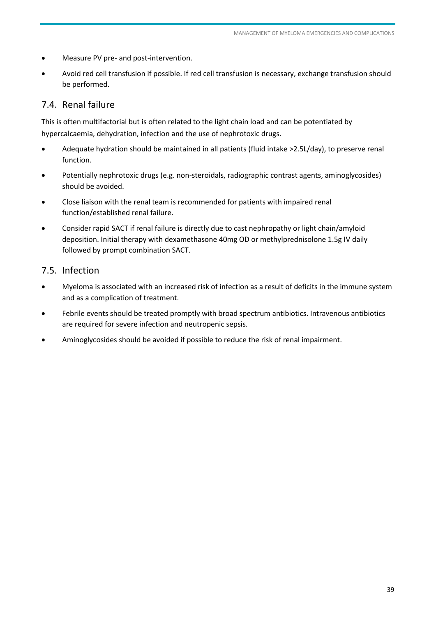- <span id="page-38-0"></span>Measure PV pre- and post-intervention.
- Avoid red cell transfusion if possible. If red cell transfusion is necessary, exchange transfusion should be performed.

# 7.4. Renal failure

This is often multifactorial but is often related to the light chain load and can be potentiated by hypercalcaemia, dehydration, infection and the use of nephrotoxic drugs.

- Adequate hydration should be maintained in all patients (fluid intake >2.5L/day), to preserve renal function.
- Potentially nephrotoxic drugs (e.g. non-steroidals, radiographic contrast agents, aminoglycosides) should be avoided.
- Close liaison with the renal team is recommended for patients with impaired renal function/established renal failure.
- Consider rapid SACT if renal failure is directly due to cast nephropathy or light chain/amyloid deposition. Initial therapy with dexamethasone 40mg OD or methylprednisolone 1.5g IV daily followed by prompt combination SACT.

# 7.5. Infection

- Myeloma is associated with an increased risk of infection as a result of deficits in the immune system and as a complication of treatment.
- Febrile events should be treated promptly with broad spectrum antibiotics. Intravenous antibiotics are required for severe infection and neutropenic sepsis.
- Aminoglycosides should be avoided if possible to reduce the risk of renal impairment.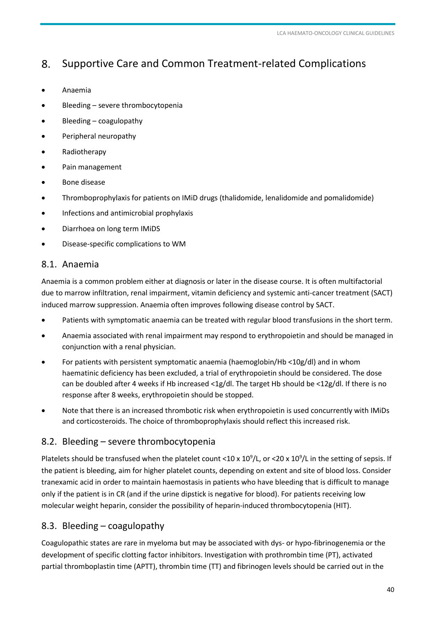#### <span id="page-39-1"></span><span id="page-39-0"></span>8. Supportive Care and Common Treatment-related Complications

- Anaemia
- Bleeding severe thrombocytopenia
- Bleeding coagulopathy
- Peripheral neuropathy
- Radiotherapy
- Pain management
- Bone disease
- Thromboprophylaxis for patients on IMiD drugs (thalidomide, lenalidomide and pomalidomide)
- Infections and antimicrobial prophylaxis
- Diarrhoea on long term IMiDS
- Disease-specific complications to WM

# 8.1. Anaemia

Anaemia is a common problem either at diagnosis or later in the disease course. It is often multifactorial due to marrow infiltration, renal impairment, vitamin deficiency and systemic anti-cancer treatment (SACT) induced marrow suppression. Anaemia often improves following disease control by SACT.

- Patients with symptomatic anaemia can be treated with regular blood transfusions in the short term.
- Anaemia associated with renal impairment may respond to erythropoietin and should be managed in conjunction with a renal physician.
- For patients with persistent symptomatic anaemia (haemoglobin/Hb <10g/dl) and in whom haematinic deficiency has been excluded, a trial of erythropoietin should be considered. The dose can be doubled after 4 weeks if Hb increased <1g/dl. The target Hb should be <12g/dl. If there is no response after 8 weeks, erythropoietin should be stopped.
- Note that there is an increased thrombotic risk when erythropoietin is used concurrently with IMiDs and corticosteroids. The choice of thromboprophylaxis should reflect this increased risk.

# 8.2. Bleeding – severe thrombocytopenia

Platelets should be transfused when the platelet count <10 x  $10^9$ /L, or <20 x  $10^9$ /L in the setting of sepsis. If the patient is bleeding, aim for higher platelet counts, depending on extent and site of blood loss. Consider tranexamic acid in order to maintain haemostasis in patients who have bleeding that is difficult to manage only if the patient is in CR (and if the urine dipstick is negative for blood). For patients receiving low molecular weight heparin, consider the possibility of heparin-induced thrombocytopenia (HIT).

# 8.3. Bleeding – coagulopathy

Coagulopathic states are rare in myeloma but may be associated with dys- or hypo-fibrinogenemia or the development of specific clotting factor inhibitors. Investigation with prothrombin time (PT), activated partial thromboplastin time (APTT), thrombin time (TT) and fibrinogen levels should be carried out in the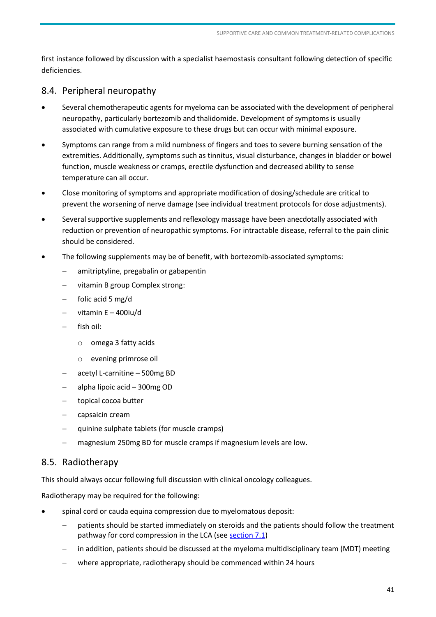<span id="page-40-0"></span>first instance followed by discussion with a specialist haemostasis consultant following detection of specific deficiencies.

# 8.4. Peripheral neuropathy

- Several chemotherapeutic agents for myeloma can be associated with the development of peripheral neuropathy, particularly bortezomib and thalidomide. Development of symptoms is usually associated with cumulative exposure to these drugs but can occur with minimal exposure.
- Symptoms can range from a mild numbness of fingers and toes to severe burning sensation of the extremities. Additionally, symptoms such as tinnitus, visual disturbance, changes in bladder or bowel function, muscle weakness or cramps, erectile dysfunction and decreased ability to sense temperature can all occur.
- Close monitoring of symptoms and appropriate modification of dosing/schedule are critical to prevent the worsening of nerve damage (see individual treatment protocols for dose adjustments).
- Several supportive supplements and reflexology massage have been anecdotally associated with reduction or prevention of neuropathic symptoms. For intractable disease, referral to the pain clinic should be considered.
- The following supplements may be of benefit, with bortezomib-associated symptoms:
	- amitriptyline, pregabalin or gabapentin
	- vitamin B group Complex strong:
	- folic acid 5 mg/d
	- vitamin E 400iu/d
	- fish oil:
		- o omega 3 fatty acids
		- o evening primrose oil
	- acetyl L-carnitine 500mg BD
	- alpha lipoic acid 300mg OD
	- topical cocoa butter
	- capsaicin cream
	- quinine sulphate tablets (for muscle cramps)
	- magnesium 250mg BD for muscle cramps if magnesium levels are low.

#### <span id="page-40-1"></span>8.5. Radiotherapy

This should always occur following full discussion with clinical oncology colleagues.

Radiotherapy may be required for the following:

- spinal cord or cauda equina compression due to myelomatous deposit:
	- patients should be started immediately on steroids and the patients should follow the treatment pathway for cord compression in the LCA (see [section 7.1\)](#page-37-1)
	- in addition, patients should be discussed at the myeloma multidisciplinary team (MDT) meeting
	- where appropriate, radiotherapy should be commenced within 24 hours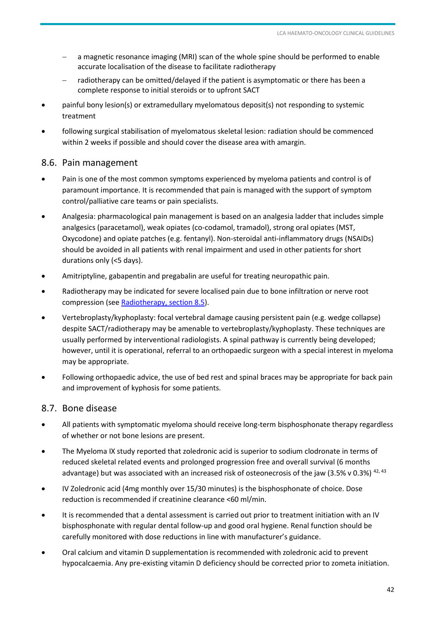- <span id="page-41-0"></span> a magnetic resonance imaging (MRI) scan of the whole spine should be performed to enable accurate localisation of the disease to facilitate radiotherapy
- radiotherapy can be omitted/delayed if the patient is asymptomatic or there has been a complete response to initial steroids or to upfront SACT
- painful bony lesion(s) or extramedullary myelomatous deposit(s) not responding to systemic treatment
- following surgical stabilisation of myelomatous skeletal lesion: radiation should be commenced within 2 weeks if possible and should cover the disease area with amargin.

#### 8.6. Pain management

- Pain is one of the most common symptoms experienced by myeloma patients and control is of paramount importance. It is recommended that pain is managed with the support of symptom control/palliative care teams or pain specialists.
- Analgesia: pharmacological pain management is based on an analgesia ladder that includes simple analgesics (paracetamol), weak opiates (co-codamol, tramadol), strong oral opiates (MST, Oxycodone) and opiate patches (e.g. fentanyl). Non-steroidal anti-inflammatory drugs (NSAIDs) should be avoided in all patients with renal impairment and used in other patients for short durations only (<5 days).
- Amitriptyline, gabapentin and pregabalin are useful for treating neuropathic pain.
- Radiotherapy may be indicated for severe localised pain due to bone infiltration or nerve root compression (se[e Radiotherapy, section 8.5\)](#page-40-1).
- Vertebroplasty/kyphoplasty: focal vertebral damage causing persistent pain (e.g. wedge collapse) despite SACT/radiotherapy may be amenable to vertebroplasty/kyphoplasty. These techniques are usually performed by interventional radiologists. A spinal pathway is currently being developed; however, until it is operational, referral to an orthopaedic surgeon with a special interest in myeloma may be appropriate.
- Following orthopaedic advice, the use of bed rest and spinal braces may be appropriate for back pain and improvement of kyphosis for some patients.

#### 8.7. Bone disease

- All patients with symptomatic myeloma should receive long-term bisphosphonate therapy regardless of whether or not bone lesions are present.
- The Myeloma IX study reported that zoledronic acid is superior to sodium clodronate in terms of reduced skeletal related events and prolonged progression free and overall survival (6 months advantage) but was associated with an increased risk of osteonecrosis of the jaw (3.5% v 0.3%) <sup>42, 43</sup>
- IV Zoledronic acid (4mg monthly over 15/30 minutes) is the bisphosphonate of choice. Dose reduction is recommended if creatinine clearance <60 ml/min.
- It is recommended that a dental assessment is carried out prior to treatment initiation with an IV bisphosphonate with regular dental follow-up and good oral hygiene. Renal function should be carefully monitored with dose reductions in line with manufacturer's guidance.
- Oral calcium and vitamin D supplementation is recommended with zoledronic acid to prevent hypocalcaemia. Any pre-existing vitamin D deficiency should be corrected prior to zometa initiation.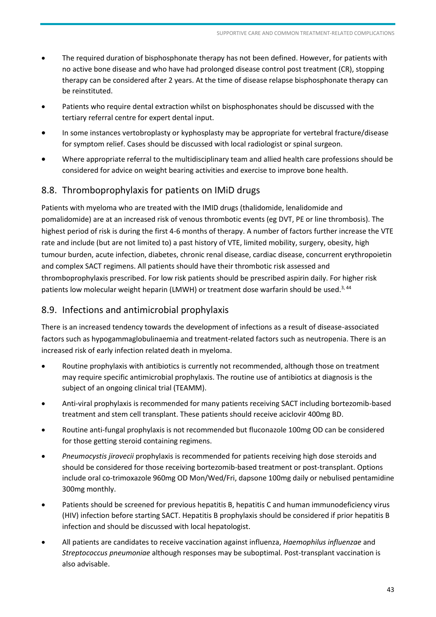- <span id="page-42-0"></span> The required duration of bisphosphonate therapy has not been defined. However, for patients with no active bone disease and who have had prolonged disease control post treatment (CR), stopping therapy can be considered after 2 years. At the time of disease relapse bisphosphonate therapy can be reinstituted.
- Patients who require dental extraction whilst on bisphosphonates should be discussed with the tertiary referral centre for expert dental input.
- In some instances vertobroplasty or kyphosplasty may be appropriate for vertebral fracture/disease for symptom relief. Cases should be discussed with local radiologist or spinal surgeon.
- Where appropriate referral to the multidisciplinary team and allied health care professions should be considered for advice on weight bearing activities and exercise to improve bone health.

# 8.8. Thromboprophylaxis for patients on IMiD drugs

Patients with myeloma who are treated with the IMID drugs (thalidomide, lenalidomide and pomalidomide) are at an increased risk of venous thrombotic events (eg DVT, PE or line thrombosis). The highest period of risk is during the first 4-6 months of therapy. A number of factors further increase the VTE rate and include (but are not limited to) a past history of VTE, limited mobility, surgery, obesity, high tumour burden, acute infection, diabetes, chronic renal disease, cardiac disease, concurrent erythropoietin and complex SACT regimens. All patients should have their thrombotic risk assessed and thromboprophylaxis prescribed. For low risk patients should be prescribed aspirin daily. For higher risk patients low molecular weight heparin (LMWH) or treatment dose warfarin should be used.<sup>3, 44</sup>

# 8.9. Infections and antimicrobial prophylaxis

There is an increased tendency towards the development of infections as a result of disease-associated factors such as hypogammaglobulinaemia and treatment-related factors such as neutropenia. There is an increased risk of early infection related death in myeloma.

- Routine prophylaxis with antibiotics is currently not recommended, although those on treatment may require specific antimicrobial prophylaxis. The routine use of antibiotics at diagnosis is the subject of an ongoing clinical trial (TEAMM).
- Anti-viral prophylaxis is recommended for many patients receiving SACT including bortezomib-based treatment and stem cell transplant. These patients should receive aciclovir 400mg BD.
- Routine anti-fungal prophylaxis is not recommended but fluconazole 100mg OD can be considered for those getting steroid containing regimens.
- *Pneumocystis jirovecii* prophylaxis is recommended for patients receiving high dose steroids and should be considered for those receiving bortezomib-based treatment or post-transplant. Options include oral co-trimoxazole 960mg OD Mon/Wed/Fri, dapsone 100mg daily or nebulised pentamidine 300mg monthly.
- Patients should be screened for previous hepatitis B, hepatitis C and human immunodeficiency virus (HIV) infection before starting SACT. Hepatitis B prophylaxis should be considered if prior hepatitis B infection and should be discussed with local hepatologist.
- All patients are candidates to receive vaccination against influenza, *Haemophilus influenzae* and *Streptococcus pneumoniae* although responses may be suboptimal. Post-transplant vaccination is also advisable.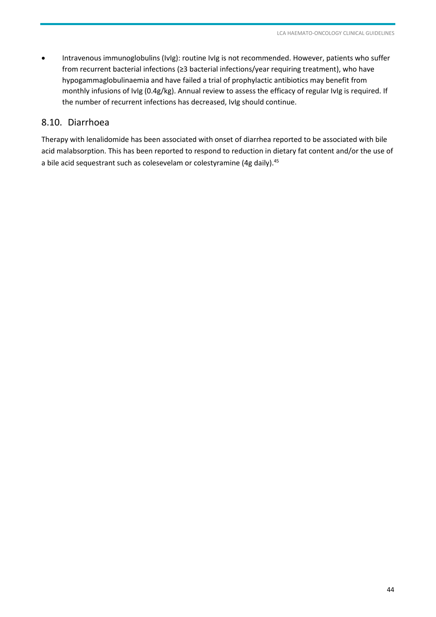<span id="page-43-0"></span> Intravenous immunoglobulins (IvIg): routine IvIg is not recommended. However, patients who suffer from recurrent bacterial infections (≥3 bacterial infections/year requiring treatment), who have hypogammaglobulinaemia and have failed a trial of prophylactic antibiotics may benefit from monthly infusions of IvIg (0.4g/kg). Annual review to assess the efficacy of regular IvIg is required. If the number of recurrent infections has decreased, IvIg should continue.

#### 8.10. Diarrhoea

Therapy with lenalidomide has been associated with onset of diarrhea reported to be associated with bile acid malabsorption. This has been reported to respond to reduction in dietary fat content and/or the use of a bile acid sequestrant such as colesevelam or colestyramine (4g daily).<sup>45</sup>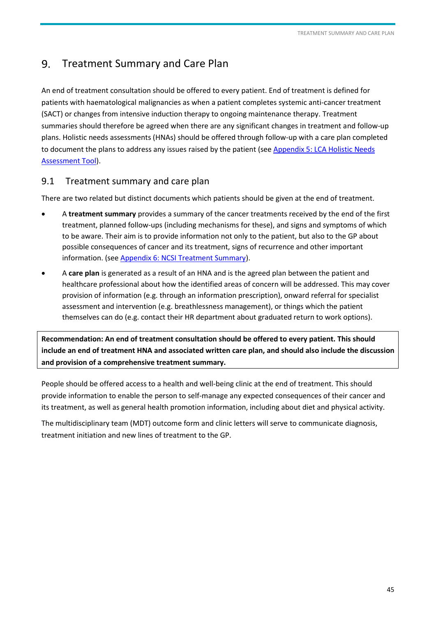#### <span id="page-44-0"></span> $9<sub>1</sub>$ Treatment Summary and Care Plan

An end of treatment consultation should be offered to every patient. End of treatment is defined for patients with haematological malignancies as when a patient completes systemic anti-cancer treatment (SACT) or changes from intensive induction therapy to ongoing maintenance therapy. Treatment summaries should therefore be agreed when there are any significant changes in treatment and follow-up plans. Holistic needs assessments (HNAs) should be offered through follow-up with a care plan completed to document the plans to address any issues raised by the patient (see [Appendix 5: LCA Holistic Needs](http://www.londoncanceralliance.nhs.uk/media/60440/London%20Holistic%20Needs%20Assessment_print%20version_2013.pdf)  [Assessment Tool\)](http://www.londoncanceralliance.nhs.uk/media/60440/London%20Holistic%20Needs%20Assessment_print%20version_2013.pdf).

# 9.1 Treatment summary and care plan

There are two related but distinct documents which patients should be given at the end of treatment.

- A **treatment summary** provides a summary of the cancer treatments received by the end of the first treatment, planned follow-ups (including mechanisms for these), and signs and symptoms of which to be aware. Their aim is to provide information not only to the patient, but also to the GP about possible consequences of cancer and its treatment, signs of recurrence and other important information. (se[e Appendix 6: NCSI Treatment Summary\)](http://www.londoncanceralliance.nhs.uk/media/82849/lca-treatment-summary-template.doc).
- A **care plan** is generated as a result of an HNA and is the agreed plan between the patient and healthcare professional about how the identified areas of concern will be addressed. This may cover provision of information (e.g. through an information prescription), onward referral for specialist assessment and intervention (e.g. breathlessness management), or things which the patient themselves can do (e.g. contact their HR department about graduated return to work options).

**Recommendation: An end of treatment consultation should be offered to every patient. This should include an end of treatment HNA and associated written care plan, and should also include the discussion and provision of a comprehensive treatment summary.** 

People should be offered access to a health and well-being clinic at the end of treatment. This should provide information to enable the person to self-manage any expected consequences of their cancer and its treatment, as well as general health promotion information, including about diet and physical activity.

The multidisciplinary team (MDT) outcome form and clinic letters will serve to communicate diagnosis, treatment initiation and new lines of treatment to the GP.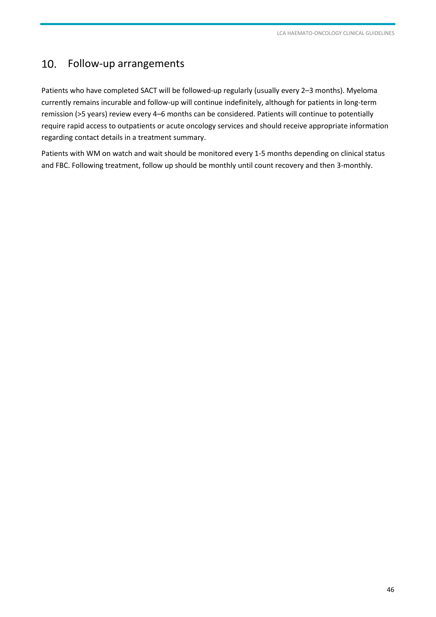#### <span id="page-45-0"></span>10. Follow-up arrangements

Patients who have completed SACT will be followed-up regularly (usually every 2–3 months). Myeloma currently remains incurable and follow-up will continue indefinitely, although for patients in long-term remission (>5 years) review every 4–6 months can be considered. Patients will continue to potentially require rapid access to outpatients or acute oncology services and should receive appropriate information regarding contact details in a treatment summary.

Patients with WM on watch and wait should be monitored every 1-5 months depending on clinical status and FBC. Following treatment, follow up should be monthly until count recovery and then 3-monthly.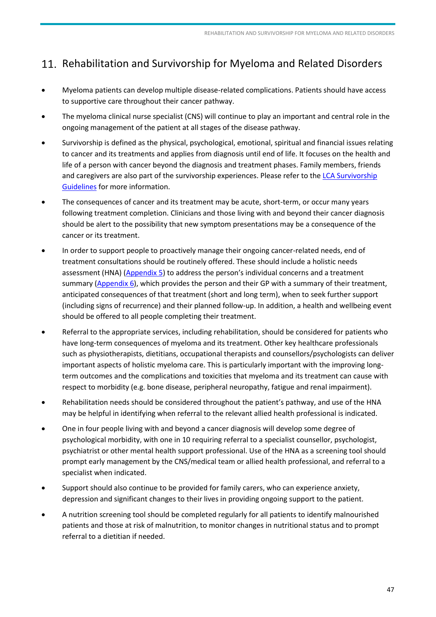# <span id="page-46-0"></span>11. Rehabilitation and Survivorship for Myeloma and Related Disorders

- Myeloma patients can develop multiple disease-related complications. Patients should have access to supportive care throughout their cancer pathway.
- The myeloma clinical nurse specialist (CNS) will continue to play an important and central role in the ongoing management of the patient at all stages of the disease pathway.
- Survivorship is defined as the physical, psychological, emotional, spiritual and financial issues relating to cancer and its treatments and applies from diagnosis until end of life. It focuses on the health and life of a person with cancer beyond the diagnosis and treatment phases. Family members, friends and caregivers are also part of the survivorship experiences. Please refer to th[e LCA Survivorship](http://www.londoncanceralliance.nhs.uk/information-for-healthcare-professionals/pathway-groups/survivorship/)  [Guidelines](http://www.londoncanceralliance.nhs.uk/information-for-healthcare-professionals/pathway-groups/survivorship/) for more information.
- The consequences of cancer and its treatment may be acute, short-term, or occur many years following treatment completion. Clinicians and those living with and beyond their cancer diagnosis should be alert to the possibility that new symptom presentations may be a consequence of the cancer or its treatment.
- In order to support people to proactively manage their ongoing cancer-related needs, end of treatment consultations should be routinely offered. These should include a holistic needs assessment (HNA) [\(Appendix 5\)](http://www.londoncanceralliance.nhs.uk/media/60440/London%20Holistic%20Needs%20Assessment_print%20version_2013.pdf) to address the person's individual concerns and a treatment summary [\(Appendix 6\)](http://www.londoncanceralliance.nhs.uk/media/82849/lca-treatment-summary-template.doc), which provides the person and their GP with a summary of their treatment, anticipated consequences of that treatment (short and long term), when to seek further support (including signs of recurrence) and their planned follow-up. In addition, a health and wellbeing event should be offered to all people completing their treatment.
- Referral to the appropriate services, including rehabilitation, should be considered for patients who have long-term consequences of myeloma and its treatment. Other key healthcare professionals such as physiotherapists, dietitians, occupational therapists and counsellors/psychologists can deliver important aspects of holistic myeloma care. This is particularly important with the improving longterm outcomes and the complications and toxicities that myeloma and its treatment can cause with respect to morbidity (e.g. bone disease, peripheral neuropathy, fatigue and renal impairment).
- Rehabilitation needs should be considered throughout the patient's pathway, and use of the HNA may be helpful in identifying when referral to the relevant allied health professional is indicated.
- One in four people living with and beyond a cancer diagnosis will develop some degree of psychological morbidity, with one in 10 requiring referral to a specialist counsellor, psychologist, psychiatrist or other mental health support professional. Use of the HNA as a screening tool should prompt early management by the CNS/medical team or allied health professional, and referral to a specialist when indicated.
- Support should also continue to be provided for family carers, who can experience anxiety, depression and significant changes to their lives in providing ongoing support to the patient.
- A nutrition screening tool should be completed regularly for all patients to identify malnourished patients and those at risk of malnutrition, to monitor changes in nutritional status and to prompt referral to a dietitian if needed.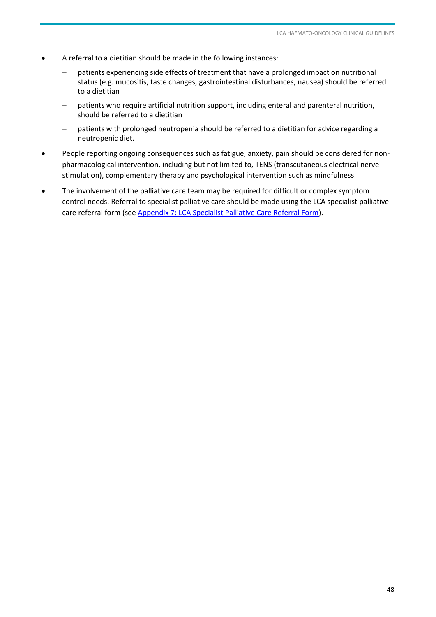- A referral to a dietitian should be made in the following instances:
	- patients experiencing side effects of treatment that have a prolonged impact on nutritional status (e.g. mucositis, taste changes, gastrointestinal disturbances, nausea) should be referred to a dietitian
	- patients who require artificial nutrition support, including enteral and parenteral nutrition, should be referred to a dietitian
	- patients with prolonged neutropenia should be referred to a dietitian for advice regarding a neutropenic diet.
- People reporting ongoing consequences such as fatigue, anxiety, pain should be considered for nonpharmacological intervention, including but not limited to, TENS (transcutaneous electrical nerve stimulation), complementary therapy and psychological intervention such as mindfulness.
- The involvement of the palliative care team may be required for difficult or complex symptom control needs. Referral to specialist palliative care should be made using the LCA specialist palliative care referral form (see [Appendix 7: LCA Specialist Palliative Care Referral Form\)](http://www.londoncanceralliance.nhs.uk/media/103636/lca-spc-electronic-referral-form-final-140715.docm).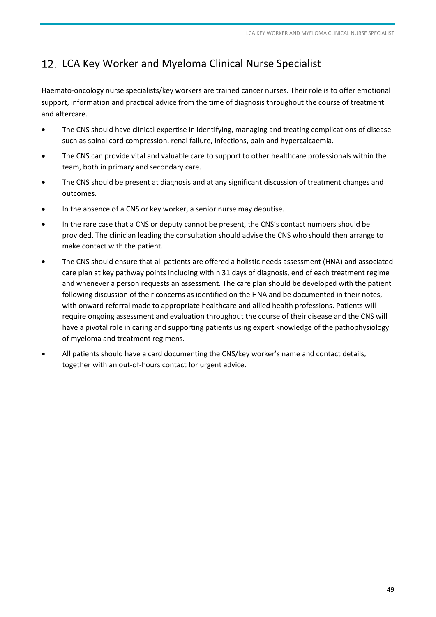# <span id="page-48-0"></span>12. LCA Key Worker and Myeloma Clinical Nurse Specialist

Haemato-oncology nurse specialists/key workers are trained cancer nurses. Their role is to offer emotional support, information and practical advice from the time of diagnosis throughout the course of treatment and aftercare.

- The CNS should have clinical expertise in identifying, managing and treating complications of disease such as spinal cord compression, renal failure, infections, pain and hypercalcaemia.
- The CNS can provide vital and valuable care to support to other healthcare professionals within the team, both in primary and secondary care.
- The CNS should be present at diagnosis and at any significant discussion of treatment changes and outcomes.
- In the absence of a CNS or key worker, a senior nurse may deputise.
- In the rare case that a CNS or deputy cannot be present, the CNS's contact numbers should be provided. The clinician leading the consultation should advise the CNS who should then arrange to make contact with the patient.
- The CNS should ensure that all patients are offered a holistic needs assessment (HNA) and associated care plan at key pathway points including within 31 days of diagnosis, end of each treatment regime and whenever a person requests an assessment. The care plan should be developed with the patient following discussion of their concerns as identified on the HNA and be documented in their notes, with onward referral made to appropriate healthcare and allied health professions. Patients will require ongoing assessment and evaluation throughout the course of their disease and the CNS will have a pivotal role in caring and supporting patients using expert knowledge of the pathophysiology of myeloma and treatment regimens.
- All patients should have a card documenting the CNS/key worker's name and contact details, together with an out-of-hours contact for urgent advice.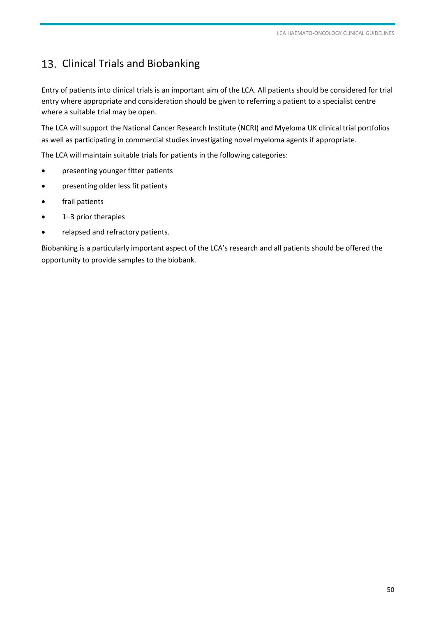# <span id="page-49-0"></span>13. Clinical Trials and Biobanking

Entry of patients into clinical trials is an important aim of the LCA. All patients should be considered for trial entry where appropriate and consideration should be given to referring a patient to a specialist centre where a suitable trial may be open.

The LCA will support the National Cancer Research Institute (NCRI) and Myeloma UK clinical trial portfolios as well as participating in commercial studies investigating novel myeloma agents if appropriate.

The LCA will maintain suitable trials for patients in the following categories:

- presenting younger fitter patients
- presenting older less fit patients
- frail patients
- 1–3 prior therapies
- relapsed and refractory patients.

Biobanking is a particularly important aspect of the LCA's research and all patients should be offered the opportunity to provide samples to the biobank.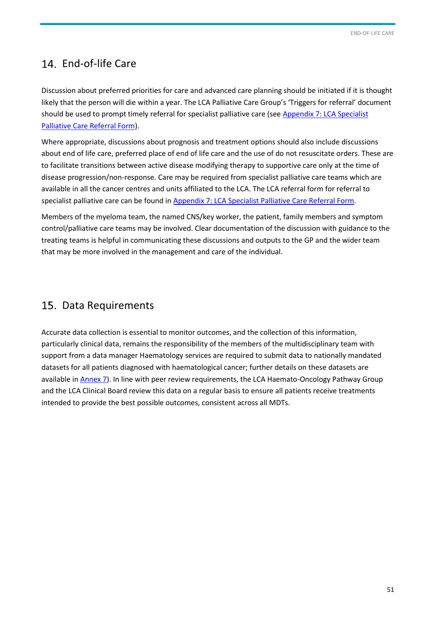# <span id="page-50-0"></span>14. End-of-life Care

Discussion about preferred priorities for care and advanced care planning should be initiated if it is thought likely that the person will die within a year. The LCA Palliative Care Group's 'Triggers for referral' document should be used to prompt timely referral for specialist palliative care (see [Appendix 7: LCA Specialist](http://www.londoncanceralliance.nhs.uk/media/103636/lca-spc-electronic-referral-form-final-140715.docm)  [Palliative Care Referral Form\)](http://www.londoncanceralliance.nhs.uk/media/91952/lca-spc-referral-form-final-140414-2-.pdf).

Where appropriate, discussions about prognosis and treatment options should also include discussions about end of life care, preferred place of end of life care and the use of do not resuscitate orders. These are to facilitate transitions between active disease modifying therapy to supportive care only at the time of disease progression/non-response. Care may be required from specialist palliative care teams which are available in all the cancer centres and units affiliated to the LCA. The LCA referral form for referral to specialist palliative care can be found i[n Appendix 7: LCA Specialist Palliative Care Referral Form.](http://www.londoncanceralliance.nhs.uk/media/103636/lca-spc-electronic-referral-form-final-140715.docm)

Members of the myeloma team, the named CNS/key worker, the patient, family members and symptom control/palliative care teams may be involved. Clear documentation of the discussion with guidance to the treating teams is helpful in communicating these discussions and outputs to the GP and the wider team that may be more involved in the management and care of the individual.

# 15. Data Requirements

Accurate data collection is essential to monitor outcomes, and the collection of this information, particularly clinical data, remains the responsibility of the members of the multidisciplinary team with support from a data manager Haematology services are required to submit data to nationally mandated datasets for all patients diagnosed with haematological cancer; further details on these datasets are available in **Annex 7**). In line with peer review requirements, the LCA Haemato-Oncology Pathway Group and the LCA Clinical Board review this data on a regular basis to ensure all patients receive treatments intended to provide the best possible outcomes, consistent across all MDTs.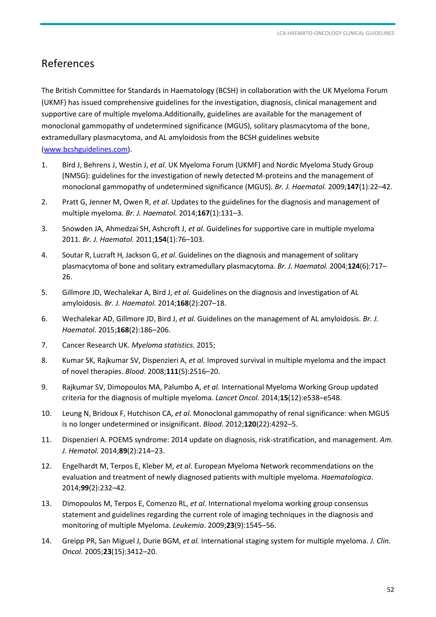# <span id="page-51-0"></span>References

The British Committee for Standards in Haematology (BCSH) in collaboration with the UK Myeloma Forum (UKMF) has issued comprehensive guidelines for the investigation, diagnosis, clinical management and supportive care of multiple myeloma.Additionally, guidelines are available for the management of monoclonal gammopathy of undetermined significance (MGUS), solitary plasmacytoma of the bone, extramedullary plasmacytoma, and AL amyloidosis from the BCSH guidelines website [\(www.bcshguidelines.com\)](http://www.bcshguidelines.com/).

- 1. Bird J, Behrens J, Westin J, *et al.* UK Myeloma Forum (UKMF) and Nordic Myeloma Study Group (NMSG): guidelines for the investigation of newly detected M-proteins and the management of monoclonal gammopathy of undetermined significance (MGUS). *Br. J. Haematol.* 2009;**147**(1):22–42.
- 2. Pratt G, Jenner M, Owen R, *et al*. Updates to the guidelines for the diagnosis and management of multiple myeloma. *Br. J. Haematol.* 2014;**167**(1):131–3.
- 3. Snowden JA, Ahmedzai SH, Ashcroft J, *et al*. Guidelines for supportive care in multiple myeloma 2011. *Br. J. Haematol.* 2011;**154**(1):76–103.
- 4. Soutar R, Lucraft H, Jackson G, *et al*. Guidelines on the diagnosis and management of solitary plasmacytoma of bone and solitary extramedullary plasmacytoma. *Br. J. Haematol.* 2004;**124**(6):717– 26.
- 5. Gillmore JD, Wechalekar A, Bird J, *et al.* Guidelines on the diagnosis and investigation of AL amyloidosis. *Br. J. Haematol.* 2014;**168**(2):207–18.
- 6. Wechalekar AD, Gillmore JD, Bird J, *et al.* Guidelines on the management of AL amyloidosis. *Br. J. Haematol.* 2015;**168**(2):186–206.
- 7. Cancer Research UK. *Myeloma statistics.* 2015;
- 8. Kumar SK, Rajkumar SV, Dispenzieri A, *et al.* Improved survival in multiple myeloma and the impact of novel therapies. *Blood*. 2008;**111**(5):2516–20.
- 9. Rajkumar SV, Dimopoulos MA, Palumbo A, *et al.* International Myeloma Working Group updated criteria for the diagnosis of multiple myeloma. *Lancet Oncol.* 2014;**15**(12):e538–e548.
- 10. Leung N, Bridoux F, Hutchison CA, *et al.* Monoclonal gammopathy of renal significance: when MGUS is no longer undetermined or insignificant. *Blood*. 2012;**120**(22):4292–5.
- 11. Dispenzieri A. POEMS syndrome: 2014 update on diagnosis, risk-stratification, and management. *Am. J. Hematol.* 2014;**89**(2):214–23.
- 12. Engelhardt M, Terpos E, Kleber M, *et al.* European Myeloma Network recommendations on the evaluation and treatment of newly diagnosed patients with multiple myeloma. *Haematologica*. 2014;**99**(2):232–42.
- 13. Dimopoulos M, Terpos E, Comenzo RL, *et al.* International myeloma working group consensus statement and guidelines regarding the current role of imaging techniques in the diagnosis and monitoring of multiple Myeloma. *Leukemia*. 2009;**23**(9):1545–56.
- 14. Greipp PR, San Miguel J, Durie BGM, *et al.* International staging system for multiple myeloma. *J. Clin. Oncol.* 2005;**23**(15):3412–20.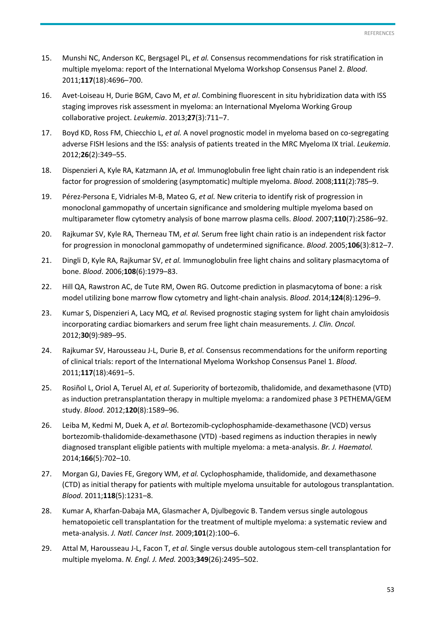- 15. Munshi NC, Anderson KC, Bergsagel PL, *et al.* Consensus recommendations for risk stratification in multiple myeloma: report of the International Myeloma Workshop Consensus Panel 2. *Blood*. 2011;**117**(18):4696–700.
- 16. Avet-Loiseau H, Durie BGM, Cavo M, *et al*. Combining fluorescent in situ hybridization data with ISS staging improves risk assessment in myeloma: an International Myeloma Working Group collaborative project. *Leukemia*. 2013;**27**(3):711–7.
- 17. Boyd KD, Ross FM, Chiecchio L, *et al.* A novel prognostic model in myeloma based on co-segregating adverse FISH lesions and the ISS: analysis of patients treated in the MRC Myeloma IX trial. *Leukemia*. 2012;**26**(2):349–55.
- 18. Dispenzieri A, Kyle RA, Katzmann JA, *et al.* Immunoglobulin free light chain ratio is an independent risk factor for progression of smoldering (asymptomatic) multiple myeloma. *Blood*. 2008;**111**(2):785–9.
- 19. Pérez-Persona E, Vidriales M-B, Mateo G, *et al.* New criteria to identify risk of progression in monoclonal gammopathy of uncertain significance and smoldering multiple myeloma based on multiparameter flow cytometry analysis of bone marrow plasma cells. *Blood*. 2007;**110**(7):2586–92.
- 20. Rajkumar SV, Kyle RA, Therneau TM, *et al.* Serum free light chain ratio is an independent risk factor for progression in monoclonal gammopathy of undetermined significance. *Blood*. 2005;**106**(3):812–7.
- 21. Dingli D, Kyle RA, Rajkumar SV, *et al.* Immunoglobulin free light chains and solitary plasmacytoma of bone. *Blood*. 2006;**108**(6):1979–83.
- 22. Hill QA, Rawstron AC, de Tute RM, Owen RG. Outcome prediction in plasmacytoma of bone: a risk model utilizing bone marrow flow cytometry and light-chain analysis. *Blood*. 2014;**124**(8):1296–9.
- 23. Kumar S, Dispenzieri A, Lacy MQ, *et al.* Revised prognostic staging system for light chain amyloidosis incorporating cardiac biomarkers and serum free light chain measurements. *J. Clin. Oncol.* 2012;**30**(9):989–95.
- 24. Rajkumar SV, Harousseau J-L, Durie B, *et al.* Consensus recommendations for the uniform reporting of clinical trials: report of the International Myeloma Workshop Consensus Panel 1. *Blood*. 2011;**117**(18):4691–5.
- 25. Rosiñol L, Oriol A, Teruel AI, *et al.* Superiority of bortezomib, thalidomide, and dexamethasone (VTD) as induction pretransplantation therapy in multiple myeloma: a randomized phase 3 PETHEMA/GEM study. *Blood*. 2012;**120**(8):1589–96.
- 26. Leiba M, Kedmi M, Duek A, *et al.* Bortezomib-cyclophosphamide-dexamethasone (VCD) versus bortezomib-thalidomide-dexamethasone (VTD) -based regimens as induction therapies in newly diagnosed transplant eligible patients with multiple myeloma: a meta-analysis. *Br. J. Haematol.* 2014;**166**(5):702–10.
- 27. Morgan GJ, Davies FE, Gregory WM, *et al.* Cyclophosphamide, thalidomide, and dexamethasone (CTD) as initial therapy for patients with multiple myeloma unsuitable for autologous transplantation. *Blood*. 2011;**118**(5):1231–8.
- 28. Kumar A, Kharfan-Dabaja MA, Glasmacher A, Djulbegovic B. Tandem versus single autologous hematopoietic cell transplantation for the treatment of multiple myeloma: a systematic review and meta-analysis. *J. Natl. Cancer Inst.* 2009;**101**(2):100–6.
- 29. Attal M, Harousseau J-L, Facon T, *et al.* Single versus double autologous stem-cell transplantation for multiple myeloma. *N. Engl. J. Med.* 2003;**349**(26):2495–502.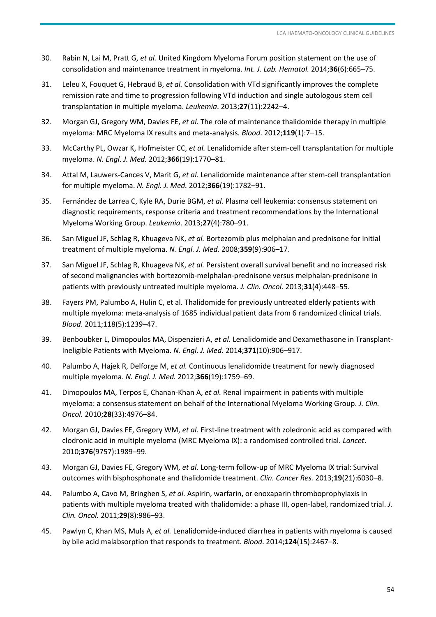- 30. Rabin N, Lai M, Pratt G, *et al.* United Kingdom Myeloma Forum position statement on the use of consolidation and maintenance treatment in myeloma. *Int. J. Lab. Hematol.* 2014;**36**(6):665–75.
- 31. Leleu X, Fouquet G, Hebraud B, *et al.* Consolidation with VTd significantly improves the complete remission rate and time to progression following VTd induction and single autologous stem cell transplantation in multiple myeloma. *Leukemia*. 2013;**27**(11):2242–4.
- 32. Morgan GJ, Gregory WM, Davies FE, *et al.* The role of maintenance thalidomide therapy in multiple myeloma: MRC Myeloma IX results and meta-analysis. *Blood*. 2012;**119**(1):7–15.
- 33. McCarthy PL, Owzar K, Hofmeister CC, *et al.* Lenalidomide after stem-cell transplantation for multiple myeloma. *N. Engl. J. Med.* 2012;**366**(19):1770–81.
- 34. Attal M, Lauwers-Cances V, Marit G, *et al.* Lenalidomide maintenance after stem-cell transplantation for multiple myeloma. *N. Engl. J. Med.* 2012;**366**(19):1782–91.
- 35. Fernández de Larrea C, Kyle RA, Durie BGM, *et al.* Plasma cell leukemia: consensus statement on diagnostic requirements, response criteria and treatment recommendations by the International Myeloma Working Group. *Leukemia*. 2013;**27**(4):780–91.
- 36. San Miguel JF, Schlag R, Khuageva NK, *et al.* Bortezomib plus melphalan and prednisone for initial treatment of multiple myeloma. *N. Engl. J. Med.* 2008;**359**(9):906–17.
- 37. San Miguel JF, Schlag R, Khuageva NK, *et al.* Persistent overall survival benefit and no increased risk of second malignancies with bortezomib-melphalan-prednisone versus melphalan-prednisone in patients with previously untreated multiple myeloma. *J. Clin. Oncol.* 2013;**31**(4):448–55.
- 38. Fayers PM, Palumbo A, Hulin C, et al. Thalidomide for previously untreated elderly patients with multiple myeloma: meta-analysis of 1685 individual patient data from 6 randomized clinical trials. *Blood*. 2011;118(5):1239–47.
- 39. Benboubker L, Dimopoulos MA, Dispenzieri A, *et al.* Lenalidomide and Dexamethasone in Transplant-Ineligible Patients with Myeloma. *N. Engl. J. Med.* 2014;**371**(10):906–917.
- 40. Palumbo A, Hajek R, Delforge M, *et al.* Continuous lenalidomide treatment for newly diagnosed multiple myeloma. *N. Engl. J. Med.* 2012;**366**(19):1759–69.
- 41. Dimopoulos MA, Terpos E, Chanan-Khan A, *et al.* Renal impairment in patients with multiple myeloma: a consensus statement on behalf of the International Myeloma Working Group. *J. Clin. Oncol.* 2010;**28**(33):4976–84.
- 42. Morgan GJ, Davies FE, Gregory WM, *et al.* First-line treatment with zoledronic acid as compared with clodronic acid in multiple myeloma (MRC Myeloma IX): a randomised controlled trial. *Lancet*. 2010;**376**(9757):1989–99.
- 43. Morgan GJ, Davies FE, Gregory WM, *et al.* Long-term follow-up of MRC Myeloma IX trial: Survival outcomes with bisphosphonate and thalidomide treatment. *Clin. Cancer Res.* 2013;**19**(21):6030–8.
- 44. Palumbo A, Cavo M, Bringhen S, *et al.* Aspirin, warfarin, or enoxaparin thromboprophylaxis in patients with multiple myeloma treated with thalidomide: a phase III, open-label, randomized trial. *J. Clin. Oncol.* 2011;**29**(8):986–93.
- 45. Pawlyn C, Khan MS, Muls A, *et al.* Lenalidomide-induced diarrhea in patients with myeloma is caused by bile acid malabsorption that responds to treatment. *Blood*. 2014;**124**(15):2467–8.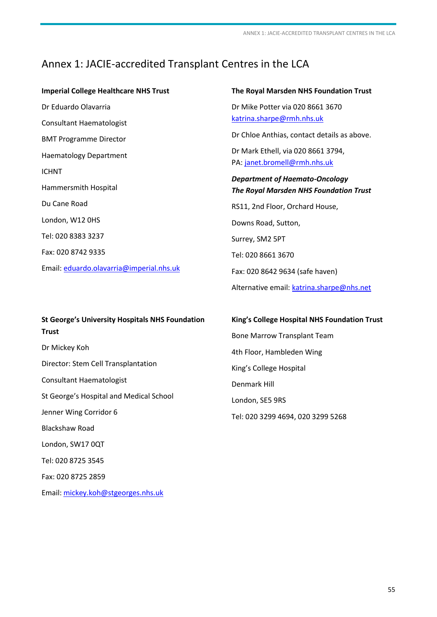# <span id="page-54-1"></span><span id="page-54-0"></span>Annex 1: JACIE-accredited Transplant Centres in the LCA

#### **Imperial College Healthcare NHS Trust**

Dr Eduardo Olavarria Consultant Haematologist BMT Programme Director Haematology Department ICHNT Hammersmith Hospital Du Cane Road London, W12 0HS Tel: 020 8383 3237 Fax: 020 8742 9335 Email[: eduardo.olavarria@imperial.nhs.uk](mailto:eduardo.olavarria@imperial.nhs.uk) 

# **St George's University Hospitals NHS Foundation Trust**  Dr Mickey Koh Director: Stem Cell Transplantation Consultant Haematologist St George's Hospital and Medical School Jenner Wing Corridor 6 Blackshaw Road London, SW17 0QT Tel: 020 8725 3545 Fax: 020 8725 2859

Email[: mickey.koh@stgeorges.nhs.uk](mailto:mickey.koh@stgeorges.nhs.uk) 

#### **The Royal Marsden NHS Foundation Trust**

Dr Mike Potter via 020 8661 3670 [katrina.sharpe@rmh.nhs.uk](mailto:katrina.sharpe@rmh.nhs.uk) 

Dr Chloe Anthias, contact details as above.

Dr Mark Ethell, via 020 8661 3794, PA: [janet.bromell@rmh.nhs.uk](mailto:janet.bromell@rmh.nhs.uk) 

# *Department of Haemato-Oncology The Royal Marsden NHS Foundation Trust*

RS11, 2nd Floor, Orchard House, Downs Road, Sutton, Surrey, SM2 5PT Tel: 020 8661 3670 Fax: 020 8642 9634 (safe haven) Alternative email: katrina.sharpe@nhs.net

#### **King's College Hospital NHS Foundation Trust**

Bone Marrow Transplant Team 4th Floor, Hambleden Wing King's College Hospital Denmark Hill London, SE5 9RS Tel: 020 3299 4694, 020 3299 5268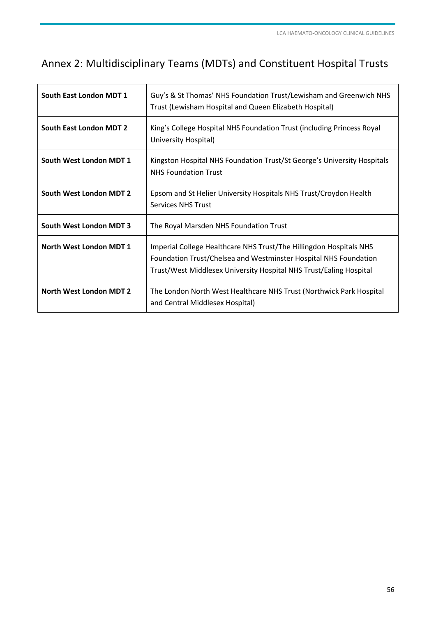# <span id="page-55-1"></span><span id="page-55-0"></span>Annex 2: Multidisciplinary Teams (MDTs) and Constituent Hospital Trusts

| South East London MDT 1        | Guy's & St Thomas' NHS Foundation Trust/Lewisham and Greenwich NHS<br>Trust (Lewisham Hospital and Queen Elizabeth Hospital)                                                                                 |
|--------------------------------|--------------------------------------------------------------------------------------------------------------------------------------------------------------------------------------------------------------|
| South East London MDT 2        | King's College Hospital NHS Foundation Trust (including Princess Royal<br>University Hospital)                                                                                                               |
| South West London MDT 1        | Kingston Hospital NHS Foundation Trust/St George's University Hospitals<br><b>NHS Foundation Trust</b>                                                                                                       |
| South West London MDT 2        | Epsom and St Helier University Hospitals NHS Trust/Croydon Health<br><b>Services NHS Trust</b>                                                                                                               |
| South West London MDT 3        | The Royal Marsden NHS Foundation Trust                                                                                                                                                                       |
| North West London MDT 1        | Imperial College Healthcare NHS Trust/The Hillingdon Hospitals NHS<br>Foundation Trust/Chelsea and Westminster Hospital NHS Foundation<br>Trust/West Middlesex University Hospital NHS Trust/Ealing Hospital |
| <b>North West London MDT 2</b> | The London North West Healthcare NHS Trust (Northwick Park Hospital<br>and Central Middlesex Hospital)                                                                                                       |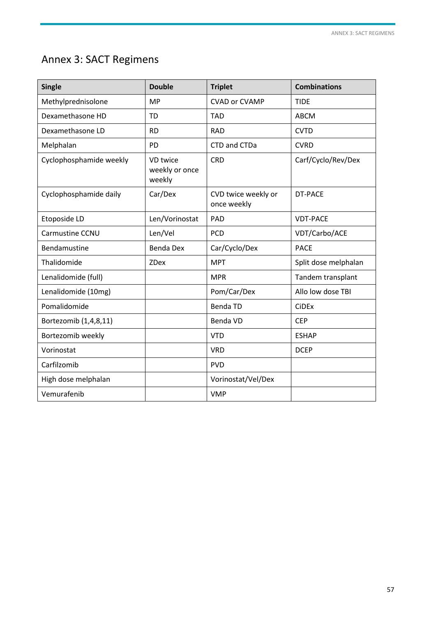# <span id="page-56-1"></span><span id="page-56-0"></span>Annex 3: SACT Regimens

| <b>Single</b>           | <b>Double</b>                        | <b>Triplet</b>                     | <b>Combinations</b>  |
|-------------------------|--------------------------------------|------------------------------------|----------------------|
| Methylprednisolone      | <b>MP</b>                            | <b>CVAD or CVAMP</b>               | <b>TIDE</b>          |
| Dexamethasone HD        | <b>TD</b>                            | <b>TAD</b>                         | <b>ABCM</b>          |
| Dexamethasone LD        | <b>RD</b>                            | <b>RAD</b>                         | <b>CVTD</b>          |
| Melphalan               | PD                                   | CTD and CTDa                       | <b>CVRD</b>          |
| Cyclophosphamide weekly | VD twice<br>weekly or once<br>weekly | <b>CRD</b>                         | Carf/Cyclo/Rev/Dex   |
| Cyclophosphamide daily  | Car/Dex                              | CVD twice weekly or<br>once weekly | <b>DT-PACE</b>       |
| Etoposide LD            | Len/Vorinostat                       | PAD                                | <b>VDT-PACE</b>      |
| Carmustine CCNU         | Len/Vel                              | PCD                                | VDT/Carbo/ACE        |
| Bendamustine            | <b>Benda Dex</b>                     | Car/Cyclo/Dex                      | <b>PACE</b>          |
| Thalidomide             | <b>ZDex</b>                          | <b>MPT</b>                         | Split dose melphalan |
| Lenalidomide (full)     |                                      | <b>MPR</b>                         | Tandem transplant    |
| Lenalidomide (10mg)     |                                      | Pom/Car/Dex                        | Allo low dose TBI    |
| Pomalidomide            |                                      | <b>Benda TD</b>                    | <b>CiDEx</b>         |
| Bortezomib (1,4,8,11)   |                                      | Benda VD                           | <b>CEP</b>           |
| Bortezomib weekly       |                                      | <b>VTD</b>                         | <b>ESHAP</b>         |
| Vorinostat              |                                      | <b>VRD</b>                         | <b>DCEP</b>          |
| Carfilzomib             |                                      | <b>PVD</b>                         |                      |
| High dose melphalan     |                                      | Vorinostat/Vel/Dex                 |                      |
| Vemurafenib             |                                      | <b>VMP</b>                         |                      |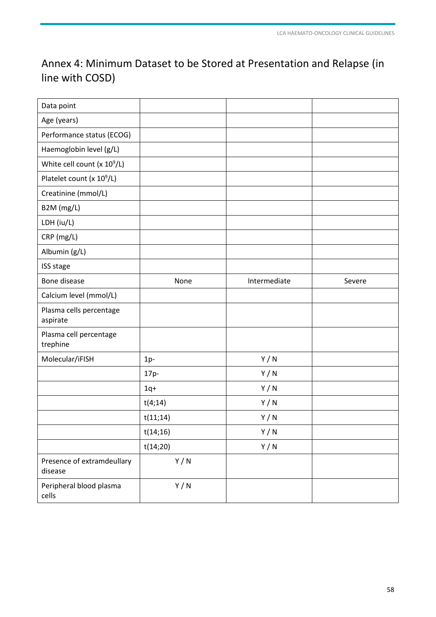# <span id="page-57-0"></span>Annex 4: Minimum Dataset to be Stored at Presentation and Relapse (in line with COSD)

| Data point                            |          |              |        |
|---------------------------------------|----------|--------------|--------|
| Age (years)                           |          |              |        |
| Performance status (ECOG)             |          |              |        |
| Haemoglobin level (g/L)               |          |              |        |
| White cell count $(x 10^9/L)$         |          |              |        |
| Platelet count (x 10 <sup>9</sup> /L) |          |              |        |
| Creatinine (mmol/L)                   |          |              |        |
| B2M (mg/L)                            |          |              |        |
| LDH (iu/L)                            |          |              |        |
| CRP (mg/L)                            |          |              |        |
| Albumin (g/L)                         |          |              |        |
| ISS stage                             |          |              |        |
| Bone disease                          | None     | Intermediate | Severe |
| Calcium level (mmol/L)                |          |              |        |
| Plasma cells percentage<br>aspirate   |          |              |        |
| Plasma cell percentage<br>trephine    |          |              |        |
| Molecular/iFISH                       | $1p-$    | Y/N          |        |
|                                       | 17p-     | Y/N          |        |
|                                       | $1q+$    | Y/N          |        |
|                                       | t(4;14)  | Y/N          |        |
|                                       | t(11;14) | Y/N          |        |
|                                       | t(14;16) | Y/N          |        |
|                                       | t(14;20) | Y/N          |        |
| Presence of extramdeullary<br>disease | Y/N      |              |        |
| Peripheral blood plasma<br>cells      | Y/N      |              |        |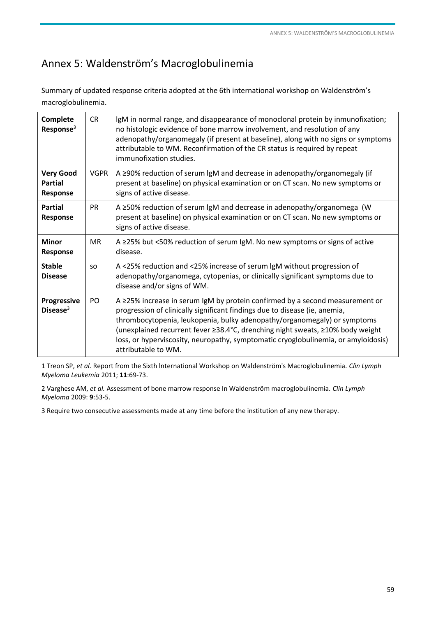# <span id="page-58-1"></span><span id="page-58-0"></span>Annex 5: Waldenström's Macroglobulinemia

Summary of updated response criteria adopted at the 6th international workshop on Waldenström's macroglobulinemia.

| Complete<br>Response <sup>3</sup>              | <b>CR</b>   | IgM in normal range, and disappearance of monoclonal protein by inmunofixation;<br>no histologic evidence of bone marrow involvement, and resolution of any<br>adenopathy/organomegaly (if present at baseline), along with no signs or symptoms<br>attributable to WM. Reconfirmation of the CR status is required by repeat<br>immunofixation studies.                                                                                    |
|------------------------------------------------|-------------|---------------------------------------------------------------------------------------------------------------------------------------------------------------------------------------------------------------------------------------------------------------------------------------------------------------------------------------------------------------------------------------------------------------------------------------------|
| <b>Very Good</b><br><b>Partial</b><br>Response | <b>VGPR</b> | A ≥90% reduction of serum IgM and decrease in adenopathy/organomegaly (if<br>present at baseline) on physical examination or on CT scan. No new symptoms or<br>signs of active disease.                                                                                                                                                                                                                                                     |
| <b>Partial</b><br>Response                     | <b>PR</b>   | A $\geq$ 50% reduction of serum IgM and decrease in adenopathy/organomega (W<br>present at baseline) on physical examination or on CT scan. No new symptoms or<br>signs of active disease.                                                                                                                                                                                                                                                  |
| Minor<br>Response                              | <b>MR</b>   | A $\geq$ 25% but <50% reduction of serum IgM. No new symptoms or signs of active<br>disease.                                                                                                                                                                                                                                                                                                                                                |
| <b>Stable</b><br><b>Disease</b>                | <b>SO</b>   | A <25% reduction and <25% increase of serum IgM without progression of<br>adenopathy/organomega, cytopenias, or clinically significant symptoms due to<br>disease and/or signs of WM.                                                                                                                                                                                                                                                       |
| <b>Progressive</b><br>Disease $3$              | PO.         | A $\geq$ 25% increase in serum IgM by protein confirmed by a second measurement or<br>progression of clinically significant findings due to disease (ie, anemia,<br>thrombocytopenia, leukopenia, bulky adenopathy/organomegaly) or symptoms<br>(unexplained recurrent fever ≥38.4°C, drenching night sweats, ≥10% body weight<br>loss, or hyperviscosity, neuropathy, symptomatic cryoglobulinemia, or amyloidosis)<br>attributable to WM. |

1 Treon SP, *et al.* Report from the Sixth lnternational Workshop on Waldenström's Macroglobulinemia. *Clin Lymph Myeloma Leukemia* 2011; **11**:69-73.

2 Varghese AM, *et al.* Assessment of bone marrow response In Waldenström macroglobulinemia. *Clin Lymph Myeloma* 2009: **9**:53-5.

3 Require two consecutive assessments made at any time before the institution of any new therapy.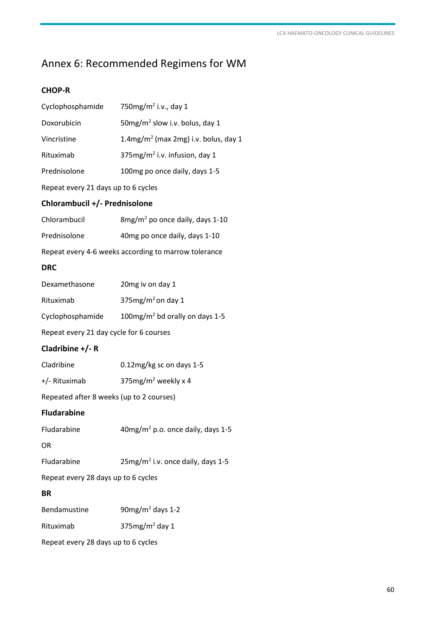# <span id="page-59-1"></span><span id="page-59-0"></span>Annex 6: Recommended Regimens for WM

## **CHOP-R**

| Cyclophosphamide                         | 750 $mg/m^2$ i.v., day 1                             |
|------------------------------------------|------------------------------------------------------|
| Doxorubicin                              | 50mg/m <sup>2</sup> slow i.v. bolus, day 1           |
| Vincristine                              | 1.4mg/m <sup>2</sup> (max 2mg) i.v. bolus, day 1     |
| Rituximab                                | 375mg/m <sup>2</sup> i.v. infusion, day 1            |
| Prednisolone                             | 100mg po once daily, days 1-5                        |
| Repeat every 21 days up to 6 cycles      |                                                      |
| Chlorambucil +/- Prednisolone            |                                                      |
| Chlorambucil                             | 8mg/m <sup>2</sup> po once daily, days 1-10          |
| Prednisolone                             | 40mg po once daily, days 1-10                        |
|                                          | Repeat every 4-6 weeks according to marrow tolerance |
| <b>DRC</b>                               |                                                      |
| Dexamethasone                            | 20mg iv on day 1                                     |
| Rituximab                                | 375mg/m <sup>2</sup> on day 1                        |
| Cyclophosphamide                         | 100mg/m <sup>2</sup> bd orally on days 1-5           |
| Repeat every 21 day cycle for 6 courses  |                                                      |
| Cladribine $+/- R$                       |                                                      |
| Cladribine                               | 0.12mg/kg sc on days 1-5                             |
| +/- Rituximab                            | 375 $mg/m^2$ weekly x 4                              |
| Repeated after 8 weeks (up to 2 courses) |                                                      |
| <b>Fludarabine</b>                       |                                                      |
| Fludarabine                              | 40mg/m <sup>2</sup> p.o. once daily, days 1-5        |
| <b>OR</b>                                |                                                      |
| Fludarabine                              | $25mg/m2$ i.v. once daily, days 1-5                  |
| Repeat every 28 days up to 6 cycles      |                                                      |
| <b>BR</b>                                |                                                      |
| Bendamustine                             | $90mg/m2$ days 1-2                                   |
| Rituximab                                | $375mg/m2$ day 1                                     |
| Repeat every 28 days up to 6 cycles      |                                                      |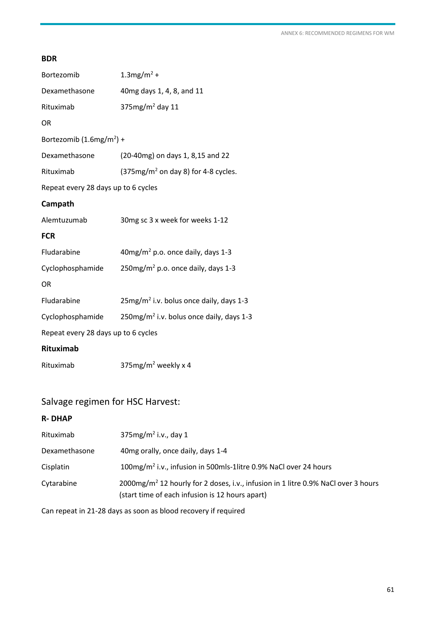#### **BDR**

| Bortezomib                          | $1.3$ mg/m <sup>2</sup> +                            |
|-------------------------------------|------------------------------------------------------|
| Dexamethasone                       | 40mg days 1, 4, 8, and 11                            |
| Rituximab                           | 375 $mg/m^2$ day 11                                  |
| <b>OR</b>                           |                                                      |
| Bortezomib $(1.6mg/m^2)$ +          |                                                      |
| Dexamethasone                       | (20-40mg) on days 1, 8,15 and 22                     |
| Rituximab                           | $(375mg/m2$ on day 8) for 4-8 cycles.                |
| Repeat every 28 days up to 6 cycles |                                                      |
| Campath                             |                                                      |
| Alemtuzumab                         | 30mg sc 3 x week for weeks 1-12                      |
| <b>FCR</b>                          |                                                      |
| Fludarabine                         | $40$ mg/m <sup>2</sup> p.o. once daily, days 1-3     |
| Cyclophosphamide                    | 250mg/m <sup>2</sup> p.o. once daily, days 1-3       |
| <b>OR</b>                           |                                                      |
| Fludarabine                         | 25mg/m <sup>2</sup> i.v. bolus once daily, days 1-3  |
| Cyclophosphamide                    | 250mg/m <sup>2</sup> i.v. bolus once daily, days 1-3 |
| Repeat every 28 days up to 6 cycles |                                                      |
| <b>Rituximab</b>                    |                                                      |
| Rituximab                           | 375mg/m <sup>2</sup> weekly x 4                      |

# Salvage regimen for HSC Harvest:

#### **R- DHAP**

| Rituximab     | $375$ mg/m <sup>2</sup> i.v., day 1                                                                                                              |
|---------------|--------------------------------------------------------------------------------------------------------------------------------------------------|
| Dexamethasone | 40mg orally, once daily, days 1-4                                                                                                                |
| Cisplatin     | 100mg/m <sup>2</sup> i.v., infusion in 500mls-1litre 0.9% NaCl over 24 hours                                                                     |
| Cytarabine    | 2000mg/m <sup>2</sup> 12 hourly for 2 doses, i.v., infusion in 1 litre 0.9% NaCl over 3 hours<br>(start time of each infusion is 12 hours apart) |

Can repeat in 21-28 days as soon as blood recovery if required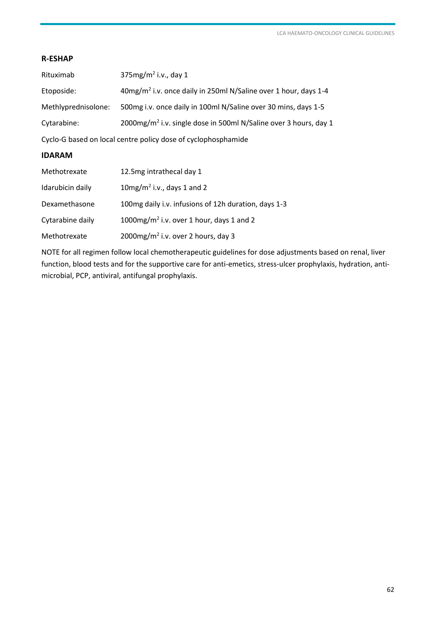#### **R-ESHAP**

| Rituximab                                                     | 375mg/m <sup>2</sup> i.v., day 1                                             |  |
|---------------------------------------------------------------|------------------------------------------------------------------------------|--|
| Etoposide:                                                    | 40mg/m <sup>2</sup> i.v. once daily in 250ml N/Saline over 1 hour, days 1-4  |  |
| Methlyprednisolone:                                           | 500mg i.v. once daily in 100ml N/Saline over 30 mins, days 1-5               |  |
| Cytarabine:                                                   | 2000mg/m <sup>2</sup> i.v. single dose in 500ml N/Saline over 3 hours, day 1 |  |
| Cyclo-G based on local centre policy dose of cyclophosphamide |                                                                              |  |

#### **IDARAM**

| Methotrexate     | 12.5mg intrathecal day 1                             |
|------------------|------------------------------------------------------|
| Idarubicin daily | $10$ mg/m <sup>2</sup> i.v., days 1 and 2            |
| Dexamethasone    | 100mg daily i.v. infusions of 12h duration, days 1-3 |
| Cytarabine daily | 1000mg/m <sup>2</sup> i.v. over 1 hour, days 1 and 2 |
| Methotrexate     | 2000mg/m <sup>2</sup> i.v. over 2 hours, day 3       |

NOTE for all regimen follow local chemotherapeutic guidelines for dose adjustments based on renal, liver function, blood tests and for the supportive care for anti-emetics, stress-ulcer prophylaxis, hydration, antimicrobial, PCP, antiviral, antifungal prophylaxis.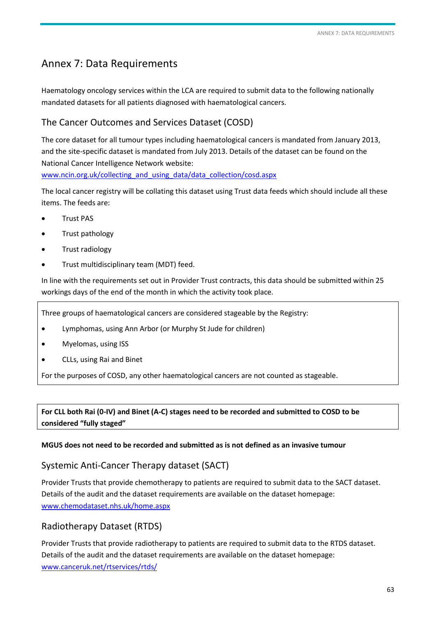# <span id="page-62-1"></span><span id="page-62-0"></span>Annex 7: Data Requirements

Haematology oncology services within the LCA are required to submit data to the following nationally mandated datasets for all patients diagnosed with haematological cancers.

# The Cancer Outcomes and Services Dataset (COSD)

The core dataset for all tumour types including haematological cancers is mandated from January 2013, and the site-specific dataset is mandated from July 2013. Details of the dataset can be found on the National Cancer Intelligence Network website:

[www.ncin.org.uk/collecting\\_and\\_using\\_data/data\\_collection/cosd.aspx](http://www.ncin.org.uk/collecting_and_using_data/data_collection/cosd.aspx)

The local cancer registry will be collating this dataset using Trust data feeds which should include all these items. The feeds are:

- Trust PAS
- Trust pathology
- Trust radiology
- Trust multidisciplinary team (MDT) feed.

In line with the requirements set out in Provider Trust contracts, this data should be submitted within 25 workings days of the end of the month in which the activity took place.

Three groups of haematological cancers are considered stageable by the Registry:

- Lymphomas, using Ann Arbor (or Murphy St Jude for children)
- Myelomas, using ISS
- CLLs, using Rai and Binet

For the purposes of COSD, any other haematological cancers are not counted as stageable.

# **For CLL both Rai (0-IV) and Binet (A-C) stages need to be recorded and submitted to COSD to be considered "fully staged"**

#### **MGUS does not need to be recorded and submitted as is not defined as an invasive tumour**

# Systemic Anti-Cancer Therapy dataset (SACT)

Provider Trusts that provide chemotherapy to patients are required to submit data to the SACT dataset. Details of the audit and the dataset requirements are available on the dataset homepage: [www.chemodataset.nhs.uk/home.aspx](http://www.chemodataset.nhs.uk/home.aspx)

# Radiotherapy Dataset (RTDS)

Provider Trusts that provide radiotherapy to patients are required to submit data to the RTDS dataset. Details of the audit and the dataset requirements are available on the dataset homepage: [www.canceruk.net/rtservices/rtds/](http://www.canceruk.net/rtservices/rtds/)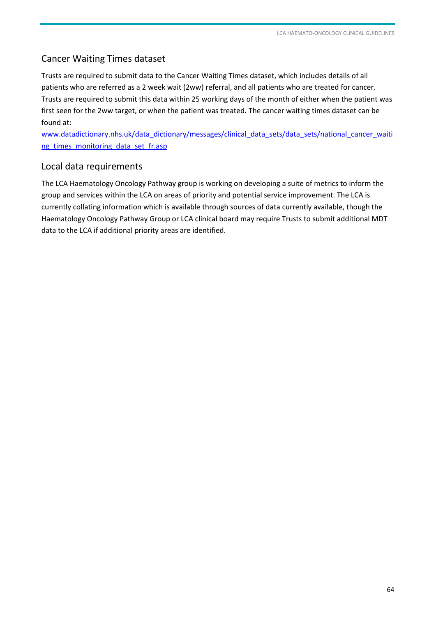# Cancer Waiting Times dataset

Trusts are required to submit data to the Cancer Waiting Times dataset, which includes details of all patients who are referred as a 2 week wait (2ww) referral, and all patients who are treated for cancer. Trusts are required to submit this data within 25 working days of the month of either when the patient was first seen for the 2ww target, or when the patient was treated. The cancer waiting times dataset can be found at:

[www.datadictionary.nhs.uk/data\\_dictionary/messages/clinical\\_data\\_sets/data\\_sets/national\\_cancer\\_waiti](http://www.datadictionary.nhs.uk/data_dictionary/messages/clinical_data_sets/data_sets/national_cancer_waiting_times_monitoring_data_set_fr.asp) [ng\\_times\\_monitoring\\_data\\_set\\_fr.asp](http://www.datadictionary.nhs.uk/data_dictionary/messages/clinical_data_sets/data_sets/national_cancer_waiting_times_monitoring_data_set_fr.asp)

## Local data requirements

The LCA Haematology Oncology Pathway group is working on developing a suite of metrics to inform the group and services within the LCA on areas of priority and potential service improvement. The LCA is currently collating information which is available through sources of data currently available, though the Haematology Oncology Pathway Group or LCA clinical board may require Trusts to submit additional MDT data to the LCA if additional priority areas are identified.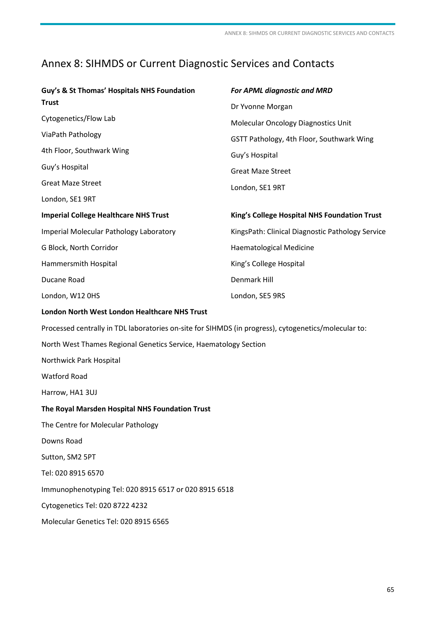# <span id="page-64-1"></span><span id="page-64-0"></span>Annex 8: SIHMDS or Current Diagnostic Services and Contacts

| Guy's & St Thomas' Hospitals NHS Foundation                                                          | For APML diagnostic and MRD                      |
|------------------------------------------------------------------------------------------------------|--------------------------------------------------|
| <b>Trust</b>                                                                                         | Dr Yvonne Morgan                                 |
| Cytogenetics/Flow Lab                                                                                | <b>Molecular Oncology Diagnostics Unit</b>       |
| ViaPath Pathology                                                                                    | GSTT Pathology, 4th Floor, Southwark Wing        |
| 4th Floor, Southwark Wing                                                                            | Guy's Hospital                                   |
| Guy's Hospital                                                                                       | <b>Great Maze Street</b>                         |
| <b>Great Maze Street</b>                                                                             | London, SE1 9RT                                  |
| London, SE1 9RT                                                                                      |                                                  |
| <b>Imperial College Healthcare NHS Trust</b>                                                         | King's College Hospital NHS Foundation Trust     |
| Imperial Molecular Pathology Laboratory                                                              | KingsPath: Clinical Diagnostic Pathology Service |
| G Block, North Corridor                                                                              | <b>Haematological Medicine</b>                   |
| Hammersmith Hospital                                                                                 | King's College Hospital                          |
| Ducane Road                                                                                          | <b>Denmark Hill</b>                              |
| London, W12 OHS                                                                                      | London, SE5 9RS                                  |
| <b>London North West London Healthcare NHS Trust</b>                                                 |                                                  |
| Processed centrally in TDL laboratories on-site for SIHMDS (in progress), cytogenetics/molecular to: |                                                  |
| North West Thames Regional Genetics Service, Haematology Section                                     |                                                  |
| Northwick Park Hospital                                                                              |                                                  |
| <b>Watford Road</b>                                                                                  |                                                  |
| Harrow, HA1 3UJ                                                                                      |                                                  |
| The Royal Marsden Hospital NHS Foundation Trust                                                      |                                                  |
| The Centre for Molecular Pathology                                                                   |                                                  |
| Downs Road                                                                                           |                                                  |
| Sutton, SM2 5PT                                                                                      |                                                  |
| Tel: 020 8915 6570                                                                                   |                                                  |
| Immunophenotyping Tel: 020 8915 6517 or 020 8915 6518                                                |                                                  |
| Cytogenetics Tel: 020 8722 4232                                                                      |                                                  |
| Molecular Genetics Tel: 020 8915 6565                                                                |                                                  |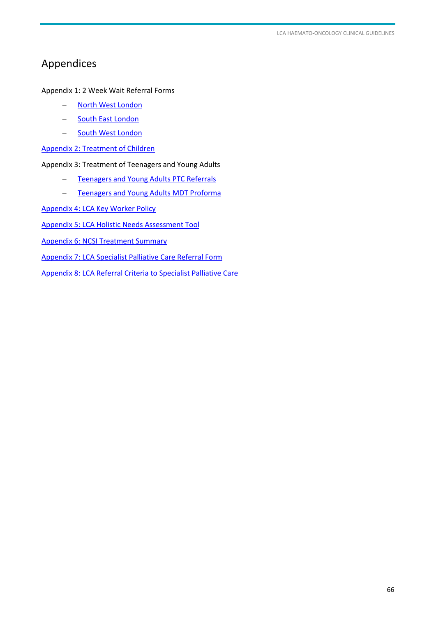# <span id="page-65-1"></span><span id="page-65-0"></span>Appendices

Appendix 1: 2 Week Wait Referral Forms

- [North West London](http://www.londoncanceralliance.nhs.uk/information-for-healthcare-professionals/forms-and-guidelines/north-west-london-cancer-network/)
- [South East London](http://www.londoncanceralliance.nhs.uk/information-for-healthcare-professionals/forms-and-guidelines/south-east-london-cancer-network/)
- [South West London](http://www.londoncanceralliance.nhs.uk/information-for-healthcare-professionals/forms-and-guidelines/south-west-london-cancer-network/)

[Appendix 2: Treatment of Children](http://www.londoncanceralliance.nhs.uk/media/95488/lca-childrens-pathways-january-2014.pdf)

Appendix 3: Treatment of Teenagers and Young Adults

- [Teenagers and Young Adults PTC Referrals](http://www.londoncanceralliance.nhs.uk/media/95494/lca-tya-pathways-january-2014.pdf)
- [Teenagers and Young Adults MDT Proforma](http://www.londoncanceralliance.nhs.uk/media/68982/TYA%20MDT%20proforma%20March%202014.doc)

[Appendix 4: LCA Key Worker Policy](http://www.londoncanceralliance.nhs.uk/media/82369/lca-key-worker-policy_final-for-distribution.pdf)

[Appendix 5: LCA Holistic Needs Assessment Tool](http://www.londoncanceralliance.nhs.uk/media/60440/London%20Holistic%20Needs%20Assessment_print%20version_2013.pdf)

[Appendix 6: NCSI Treatment Summary](http://www.londoncanceralliance.nhs.uk/media/82849/lca-treatment-summary-template.doc) 

[Appendix 7: LCA Specialist Palliative Care Referral Form](http://www.londoncanceralliance.nhs.uk/media/103636/lca-spc-electronic-referral-form-final-140715.docm)

[Appendix 8: LCA Referral Criteria to Specialist Palliative Care](http://www.londoncanceralliance.nhs.uk/media/95462/lca-referral-criteria-for-specialist-palliative-care-june-2014.pdf)